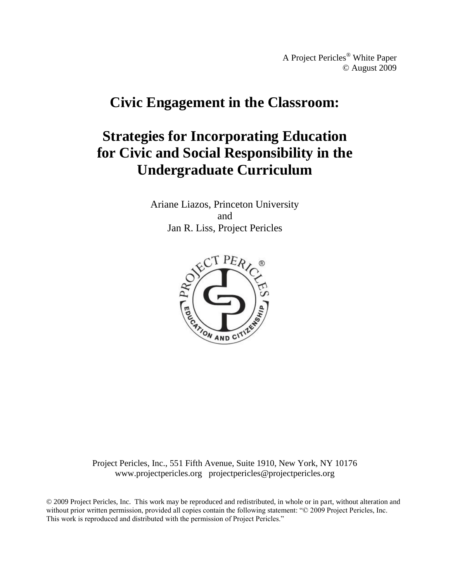A Project Pericles® White Paper © August 2009

# **Civic Engagement in the Classroom:**

# **Strategies for Incorporating Education for Civic and Social Responsibility in the Undergraduate Curriculum**

Ariane Liazos, Princeton University and Jan R. Liss, Project Pericles



Project Pericles, Inc., 551 Fifth Avenue, Suite 1910, New York, NY 10176 www.projectpericles.org projectpericles@projectpericles.org

© 2009 Project Pericles, Inc. This work may be reproduced and redistributed, in whole or in part, without alteration and without prior written permission, provided all copies contain the following statement: "© 2009 Project Pericles, Inc. This work is reproduced and distributed with the permission of Project Pericles."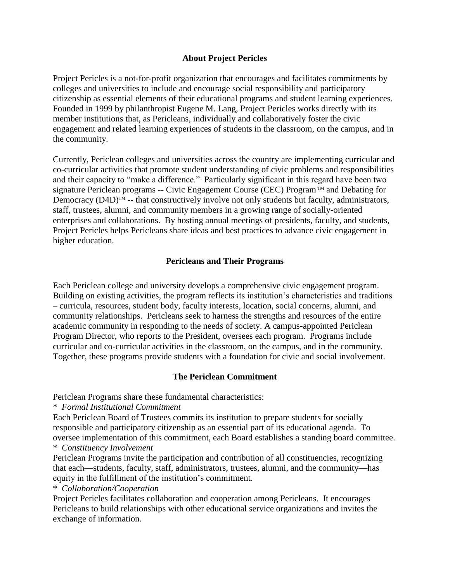# **About Project Pericles**

Project Pericles is a not-for-profit organization that encourages and facilitates commitments by colleges and universities to include and encourage social responsibility and participatory citizenship as essential elements of their educational programs and student learning experiences. Founded in 1999 by philanthropist Eugene M. Lang, Project Pericles works directly with its member institutions that, as Pericleans, individually and collaboratively foster the civic engagement and related learning experiences of students in the classroom, on the campus, and in the community.

Currently, Periclean colleges and universities across the country are implementing curricular and co-curricular activities that promote student understanding of civic problems and responsibilities and their capacity to "make a difference." Particularly significant in this regard have been two signature Periclean programs -- Civic Engagement Course (CEC) Program<sup>TM</sup> and Debating for Democracy  $(D4D)^{TM}$  -- that constructively involve not only students but faculty, administrators, staff, trustees, alumni, and community members in a growing range of socially-oriented enterprises and collaborations. By hosting annual meetings of presidents, faculty, and students, Project Pericles helps Pericleans share ideas and best practices to advance civic engagement in higher education.

# **Pericleans and Their Programs**

Each Periclean college and university develops a comprehensive civic engagement program. Building on existing activities, the program reflects its institution's characteristics and traditions – curricula, resources, student body, faculty interests, location, social concerns, alumni, and community relationships. Pericleans seek to harness the strengths and resources of the entire academic community in responding to the needs of society. A campus-appointed Periclean Program Director, who reports to the President, oversees each program. Programs include curricular and co-curricular activities in the classroom, on the campus, and in the community. Together, these programs provide students with a foundation for civic and social involvement.

## **The Periclean Commitment**

Periclean Programs share these fundamental characteristics:

\* *Formal Institutional Commitment*

Each Periclean Board of Trustees commits its institution to prepare students for socially responsible and participatory citizenship as an essential part of its educational agenda. To oversee implementation of this commitment, each Board establishes a standing board committee. \* *Constituency Involvement*

Periclean Programs invite the participation and contribution of all constituencies, recognizing that each—students, faculty, staff, administrators, trustees, alumni, and the community—has equity in the fulfillment of the institution's commitment.

\* *Collaboration/Cooperation*

Project Pericles facilitates collaboration and cooperation among Pericleans. It encourages Pericleans to build relationships with other educational service organizations and invites the exchange of information.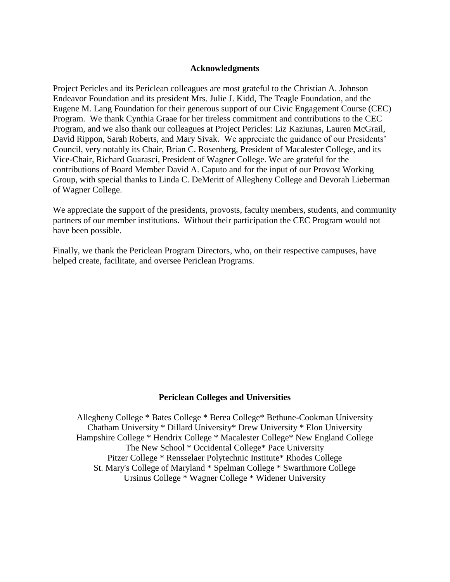## **Acknowledgments**

Project Pericles and its Periclean colleagues are most grateful to the Christian A. Johnson Endeavor Foundation and its president Mrs. Julie J. Kidd, The Teagle Foundation, and the Eugene M. Lang Foundation for their generous support of our Civic Engagement Course (CEC) Program. We thank Cynthia Graae for her tireless commitment and contributions to the CEC Program, and we also thank our colleagues at Project Pericles: Liz Kaziunas, Lauren McGrail, David Rippon, Sarah Roberts, and Mary Sivak. We appreciate the guidance of our Presidents' Council, very notably its Chair, Brian C. Rosenberg, President of Macalester College, and its Vice-Chair, Richard Guarasci, President of Wagner College. We are grateful for the contributions of Board Member David A. Caputo and for the input of our Provost Working Group, with special thanks to Linda C. DeMeritt of Allegheny College and Devorah Lieberman of Wagner College.

We appreciate the support of the presidents, provosts, faculty members, students, and community partners of our member institutions. Without their participation the CEC Program would not have been possible.

Finally, we thank the Periclean Program Directors, who, on their respective campuses, have helped create, facilitate, and oversee Periclean Programs.

## **Periclean Colleges and Universities**

Allegheny College \* Bates College \* Berea College\* Bethune-Cookman University Chatham University \* Dillard University\* Drew University \* Elon University Hampshire College \* Hendrix College \* Macalester College\* New England College The New School \* Occidental College\* Pace University Pitzer College \* Rensselaer Polytechnic Institute\* Rhodes College St. Mary's College of Maryland \* Spelman College \* Swarthmore College Ursinus College \* Wagner College \* Widener University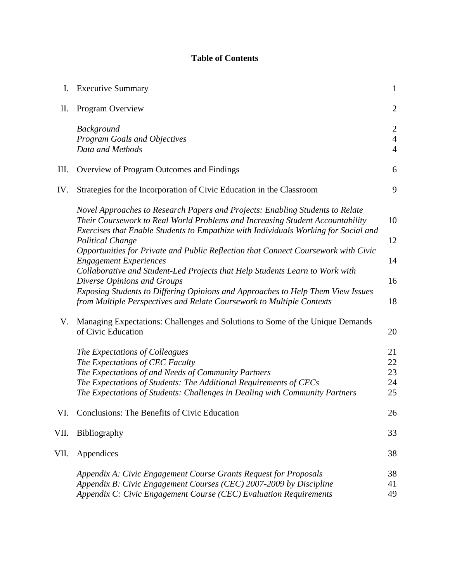# **Table of Contents**

| I.   | <b>Executive Summary</b>                                                                                                                                                                                                                                                     | $\mathbf{1}$                                       |
|------|------------------------------------------------------------------------------------------------------------------------------------------------------------------------------------------------------------------------------------------------------------------------------|----------------------------------------------------|
| II.  | Program Overview                                                                                                                                                                                                                                                             | $\overline{2}$                                     |
|      | Background<br><b>Program Goals and Objectives</b><br>Data and Methods                                                                                                                                                                                                        | $\overline{2}$<br>$\overline{4}$<br>$\overline{4}$ |
| III. | Overview of Program Outcomes and Findings                                                                                                                                                                                                                                    | 6                                                  |
| IV.  | Strategies for the Incorporation of Civic Education in the Classroom                                                                                                                                                                                                         | 9                                                  |
|      | Novel Approaches to Research Papers and Projects: Enabling Students to Relate<br>Their Coursework to Real World Problems and Increasing Student Accountability<br>Exercises that Enable Students to Empathize with Individuals Working for Social and                        | 10                                                 |
|      | <b>Political Change</b><br>Opportunities for Private and Public Reflection that Connect Coursework with Civic                                                                                                                                                                | 12                                                 |
|      | <b>Engagement Experiences</b><br>Collaborative and Student-Led Projects that Help Students Learn to Work with                                                                                                                                                                | 14                                                 |
|      | Diverse Opinions and Groups<br>Exposing Students to Differing Opinions and Approaches to Help Them View Issues<br>from Multiple Perspectives and Relate Coursework to Multiple Contexts                                                                                      | 16<br>18                                           |
| V.   | Managing Expectations: Challenges and Solutions to Some of the Unique Demands<br>of Civic Education                                                                                                                                                                          | 20                                                 |
|      | The Expectations of Colleagues<br>The Expectations of CEC Faculty<br>The Expectations of and Needs of Community Partners<br>The Expectations of Students: The Additional Requirements of CECs<br>The Expectations of Students: Challenges in Dealing with Community Partners | 21<br>22<br>23<br>24<br>25                         |
| VI.  | Conclusions: The Benefits of Civic Education                                                                                                                                                                                                                                 | 26                                                 |
| VII. | Bibliography                                                                                                                                                                                                                                                                 | 33                                                 |
| VII. | Appendices                                                                                                                                                                                                                                                                   | 38                                                 |
|      | Appendix A: Civic Engagement Course Grants Request for Proposals<br>Appendix B: Civic Engagement Courses (CEC) 2007-2009 by Discipline<br>Appendix C: Civic Engagement Course (CEC) Evaluation Requirements                                                                  | 38<br>41<br>49                                     |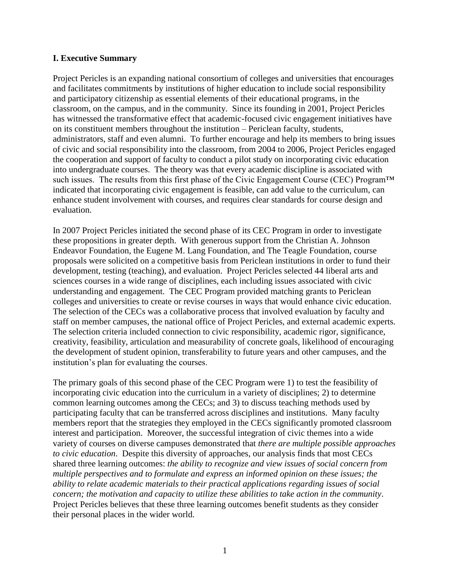# **I. Executive Summary**

Project Pericles is an expanding national consortium of colleges and universities that encourages and facilitates commitments by institutions of higher education to include social responsibility and participatory citizenship as essential elements of their educational programs, in the classroom, on the campus, and in the community. Since its founding in 2001, Project Pericles has witnessed the transformative effect that academic-focused civic engagement initiatives have on its constituent members throughout the institution – Periclean faculty, students, administrators, staff and even alumni. To further encourage and help its members to bring issues of civic and social responsibility into the classroom, from 2004 to 2006, Project Pericles engaged the cooperation and support of faculty to conduct a pilot study on incorporating civic education into undergraduate courses. The theory was that every academic discipline is associated with such issues. The results from this first phase of the Civic Engagement Course (CEC) Program™ indicated that incorporating civic engagement is feasible, can add value to the curriculum, can enhance student involvement with courses, and requires clear standards for course design and evaluation.

In 2007 Project Pericles initiated the second phase of its CEC Program in order to investigate these propositions in greater depth. With generous support from the Christian A. Johnson Endeavor Foundation, the Eugene M. Lang Foundation, and The Teagle Foundation, course proposals were solicited on a competitive basis from Periclean institutions in order to fund their development, testing (teaching), and evaluation. Project Pericles selected 44 liberal arts and sciences courses in a wide range of disciplines, each including issues associated with civic understanding and engagement. The CEC Program provided matching grants to Periclean colleges and universities to create or revise courses in ways that would enhance civic education. The selection of the CECs was a collaborative process that involved evaluation by faculty and staff on member campuses, the national office of Project Pericles, and external academic experts. The selection criteria included connection to civic responsibility, academic rigor, significance, creativity, feasibility, articulation and measurability of concrete goals, likelihood of encouraging the development of student opinion, transferability to future years and other campuses, and the institution's plan for evaluating the courses.

The primary goals of this second phase of the CEC Program were 1) to test the feasibility of incorporating civic education into the curriculum in a variety of disciplines; 2) to determine common learning outcomes among the CECs; and 3) to discuss teaching methods used by participating faculty that can be transferred across disciplines and institutions. Many faculty members report that the strategies they employed in the CECs significantly promoted classroom interest and participation.Moreover, the successful integration of civic themes into a wide variety of courses on diverse campuses demonstrated that *there are multiple possible approaches to civic education*. Despite this diversity of approaches, our analysis finds that most CECs shared three learning outcomes: *the ability to recognize and view issues of social concern from multiple perspectives and to formulate and express an informed opinion on these issues; the ability to relate academic materials to their practical applications regarding issues of social concern; the motivation and capacity to utilize these abilities to take action in the community*. Project Pericles believes that these three learning outcomes benefit students as they consider their personal places in the wider world.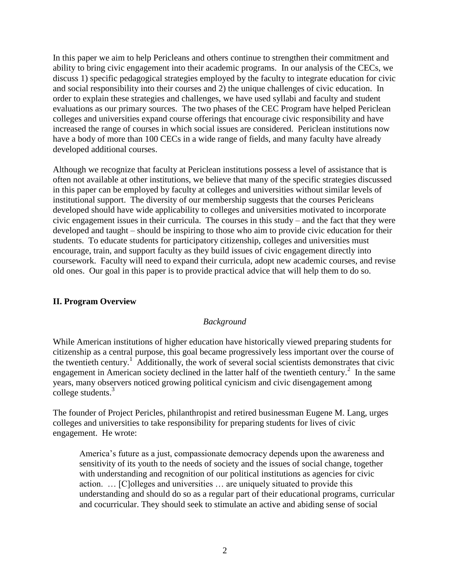In this paper we aim to help Pericleans and others continue to strengthen their commitment and ability to bring civic engagement into their academic programs. In our analysis of the CECs, we discuss 1) specific pedagogical strategies employed by the faculty to integrate education for civic and social responsibility into their courses and 2) the unique challenges of civic education. In order to explain these strategies and challenges, we have used syllabi and faculty and student evaluations as our primary sources. The two phases of the CEC Program have helped Periclean colleges and universities expand course offerings that encourage civic responsibility and have increased the range of courses in which social issues are considered. Periclean institutions now have a body of more than 100 CECs in a wide range of fields, and many faculty have already developed additional courses.

Although we recognize that faculty at Periclean institutions possess a level of assistance that is often not available at other institutions, we believe that many of the specific strategies discussed in this paper can be employed by faculty at colleges and universities without similar levels of institutional support. The diversity of our membership suggests that the courses Pericleans developed should have wide applicability to colleges and universities motivated to incorporate civic engagement issues in their curricula. The courses in this study – and the fact that they were developed and taught – should be inspiring to those who aim to provide civic education for their students. To educate students for participatory citizenship, colleges and universities must encourage, train, and support faculty as they build issues of civic engagement directly into coursework. Faculty will need to expand their curricula, adopt new academic courses, and revise old ones. Our goal in this paper is to provide practical advice that will help them to do so.

# **II. Program Overview**

# *Background*

While American institutions of higher education have historically viewed preparing students for citizenship as a central purpose, this goal became progressively less important over the course of the twentieth century.<sup>1</sup> Additionally, the work of several social scientists demonstrates that civic engagement in American society declined in the latter half of the twentieth century.<sup>2</sup> In the same years, many observers noticed growing political cynicism and civic disengagement among college students.<sup>3</sup>

The founder of Project Pericles, philanthropist and retired businessman Eugene M. Lang, urges colleges and universities to take responsibility for preparing students for lives of civic engagement. He wrote:

America's future as a just, compassionate democracy depends upon the awareness and sensitivity of its youth to the needs of society and the issues of social change, together with understanding and recognition of our political institutions as agencies for civic action. … [C]olleges and universities … are uniquely situated to provide this understanding and should do so as a regular part of their educational programs, curricular and cocurricular. They should seek to stimulate an active and abiding sense of social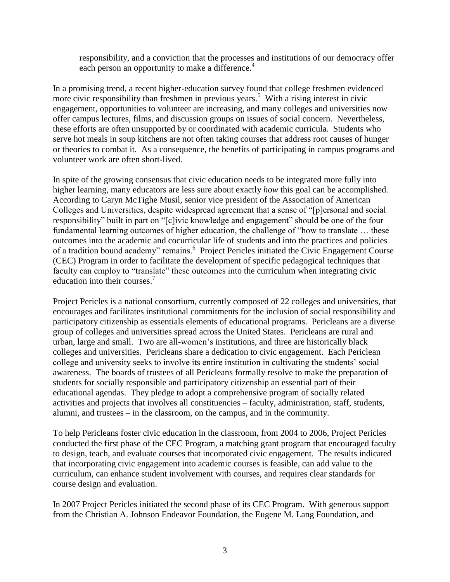responsibility, and a conviction that the processes and institutions of our democracy offer each person an opportunity to make a difference.<sup>4</sup>

In a promising trend, a recent higher-education survey found that college freshmen evidenced more civic responsibility than freshmen in previous years.<sup>5</sup> With a rising interest in civic engagement, opportunities to volunteer are increasing, and many colleges and universities now offer campus lectures, films, and discussion groups on issues of social concern. Nevertheless, these efforts are often unsupported by or coordinated with academic curricula. Students who serve hot meals in soup kitchens are not often taking courses that address root causes of hunger or theories to combat it. As a consequence, the benefits of participating in campus programs and volunteer work are often short-lived.

In spite of the growing consensus that civic education needs to be integrated more fully into higher learning, many educators are less sure about exactly *how* this goal can be accomplished. According to Caryn McTighe Musil, senior vice president of the Association of American Colleges and Universities, despite widespread agreement that a sense of "[p]ersonal and social responsibility" built in part on "[c]ivic knowledge and engagement" should be one of the four fundamental learning outcomes of higher education, the challenge of "how to translate ... these outcomes into the academic and cocurricular life of students and into the practices and policies of a tradition bound academy" remains.<sup>6</sup> Project Pericles initiated the Civic Engagement Course (CEC) Program in order to facilitate the development of specific pedagogical techniques that faculty can employ to "translate" these outcomes into the curriculum when integrating civic education into their courses.<sup>7</sup>

Project Pericles is a national consortium, currently composed of 22 colleges and universities, that encourages and facilitates institutional commitments for the inclusion of social responsibility and participatory citizenship as essentials elements of educational programs. Pericleans are a diverse group of colleges and universities spread across the United States. Pericleans are rural and urban, large and small. Two are all-women's institutions, and three are historically black colleges and universities. Pericleans share a dedication to civic engagement. Each Periclean college and university seeks to involve its entire institution in cultivating the students' social awareness. The boards of trustees of all Pericleans formally resolve to make the preparation of students for socially responsible and participatory citizenship an essential part of their educational agendas. They pledge to adopt a comprehensive program of socially related activities and projects that involves all constituencies – faculty, administration, staff, students, alumni, and trustees – in the classroom, on the campus, and in the community.

To help Pericleans foster civic education in the classroom, from 2004 to 2006, Project Pericles conducted the first phase of the CEC Program, a matching grant program that encouraged faculty to design, teach, and evaluate courses that incorporated civic engagement. The results indicated that incorporating civic engagement into academic courses is feasible, can add value to the curriculum, can enhance student involvement with courses, and requires clear standards for course design and evaluation.

In 2007 Project Pericles initiated the second phase of its CEC Program. With generous support from the Christian A. Johnson Endeavor Foundation, the Eugene M. Lang Foundation, and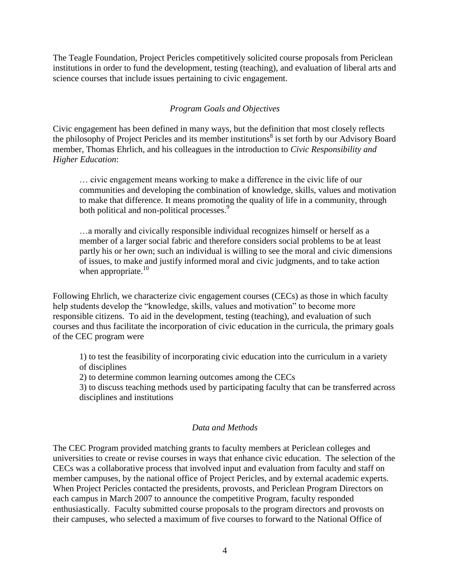The Teagle Foundation, Project Pericles competitively solicited course proposals from Periclean institutions in order to fund the development, testing (teaching), and evaluation of liberal arts and science courses that include issues pertaining to civic engagement.

# *Program Goals and Objectives*

Civic engagement has been defined in many ways, but the definition that most closely reflects the philosophy of Project Pericles and its member institutions<sup>8</sup> is set forth by our Advisory Board member, Thomas Ehrlich, and his colleagues in the introduction to *Civic Responsibility and Higher Education*:

… civic engagement means working to make a difference in the civic life of our communities and developing the combination of knowledge, skills, values and motivation to make that difference. It means promoting the quality of life in a community, through both political and non-political processes.<sup>9</sup>

…a morally and civically responsible individual recognizes himself or herself as a member of a larger social fabric and therefore considers social problems to be at least partly his or her own; such an individual is willing to see the moral and civic dimensions of issues, to make and justify informed moral and civic judgments, and to take action when appropriate. $10$ 

Following Ehrlich, we characterize civic engagement courses (CECs) as those in which faculty help students develop the "knowledge, skills, values and motivation" to become more responsible citizens. To aid in the development, testing (teaching), and evaluation of such courses and thus facilitate the incorporation of civic education in the curricula, the primary goals of the CEC program were

1) to test the feasibility of incorporating civic education into the curriculum in a variety of disciplines

2) to determine common learning outcomes among the CECs

3) to discuss teaching methods used by participating faculty that can be transferred across disciplines and institutions

## *Data and Methods*

The CEC Program provided matching grants to faculty members at Periclean colleges and universities to create or revise courses in ways that enhance civic education. The selection of the CECs was a collaborative process that involved input and evaluation from faculty and staff on member campuses, by the national office of Project Pericles, and by external academic experts. When Project Pericles contacted the presidents, provosts, and Periclean Program Directors on each campus in March 2007 to announce the competitive Program, faculty responded enthusiastically. Faculty submitted course proposals to the program directors and provosts on their campuses, who selected a maximum of five courses to forward to the National Office of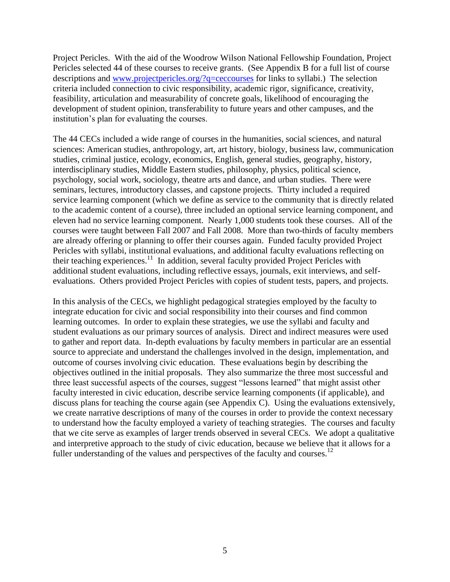Project Pericles. With the aid of the Woodrow Wilson National Fellowship Foundation, Project Pericles selected 44 of these courses to receive grants. (See Appendix B for a full list of course descriptions and [www.projectpericles.org/?q=ceccourses](http://www.projectpericles.org/?q=ceccourses) for links to syllabi.) The selection criteria included connection to civic responsibility, academic rigor, significance, creativity, feasibility, articulation and measurability of concrete goals, likelihood of encouraging the development of student opinion, transferability to future years and other campuses, and the institution's plan for evaluating the courses.

The 44 CECs included a wide range of courses in the humanities, social sciences, and natural sciences: American studies, anthropology, art, art history, biology, business law, communication studies, criminal justice, ecology, economics, English, general studies, geography, history, interdisciplinary studies, Middle Eastern studies, philosophy, physics, political science, psychology, social work, sociology, theatre arts and dance, and urban studies. There were seminars, lectures, introductory classes, and capstone projects. Thirty included a required service learning component (which we define as service to the community that is directly related to the academic content of a course), three included an optional service learning component, and eleven had no service learning component. Nearly 1,000 students took these courses. All of the courses were taught between Fall 2007 and Fall 2008. More than two-thirds of faculty members are already offering or planning to offer their courses again. Funded faculty provided Project Pericles with syllabi, institutional evaluations, and additional faculty evaluations reflecting on their teaching experiences.<sup>11</sup> In addition, several faculty provided Project Pericles with additional student evaluations, including reflective essays, journals, exit interviews, and selfevaluations. Others provided Project Pericles with copies of student tests, papers, and projects.

In this analysis of the CECs, we highlight pedagogical strategies employed by the faculty to integrate education for civic and social responsibility into their courses and find common learning outcomes. In order to explain these strategies, we use the syllabi and faculty and student evaluations as our primary sources of analysis. Direct and indirect measures were used to gather and report data. In-depth evaluations by faculty members in particular are an essential source to appreciate and understand the challenges involved in the design, implementation, and outcome of courses involving civic education. These evaluations begin by describing the objectives outlined in the initial proposals. They also summarize the three most successful and three least successful aspects of the courses, suggest "lessons learned" that might assist other faculty interested in civic education, describe service learning components (if applicable), and discuss plans for teaching the course again (see Appendix C). Using the evaluations extensively, we create narrative descriptions of many of the courses in order to provide the context necessary to understand how the faculty employed a variety of teaching strategies. The courses and faculty that we cite serve as examples of larger trends observed in several CECs. We adopt a qualitative and interpretive approach to the study of civic education, because we believe that it allows for a fuller understanding of the values and perspectives of the faculty and courses.<sup>12</sup>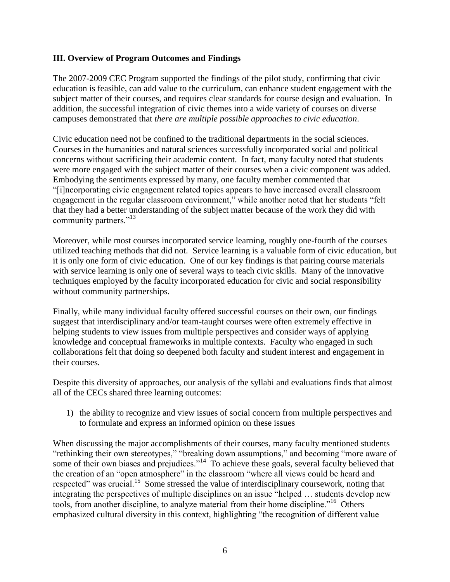# **III. Overview of Program Outcomes and Findings**

The 2007-2009 CEC Program supported the findings of the pilot study, confirming that civic education is feasible, can add value to the curriculum, can enhance student engagement with the subject matter of their courses, and requires clear standards for course design and evaluation. In addition, the successful integration of civic themes into a wide variety of courses on diverse campuses demonstrated that *there are multiple possible approaches to civic education*.

Civic education need not be confined to the traditional departments in the social sciences. Courses in the humanities and natural sciences successfully incorporated social and political concerns without sacrificing their academic content. In fact, many faculty noted that students were more engaged with the subject matter of their courses when a civic component was added. Embodying the sentiments expressed by many, one faculty member commented that ―[i]ncorporating civic engagement related topics appears to have increased overall classroom engagement in the regular classroom environment," while another noted that her students "felt" that they had a better understanding of the subject matter because of the work they did with community partners."<sup>13</sup>

Moreover, while most courses incorporated service learning, roughly one-fourth of the courses utilized teaching methods that did not. Service learning is a valuable form of civic education, but it is only one form of civic education. One of our key findings is that pairing course materials with service learning is only one of several ways to teach civic skills. Many of the innovative techniques employed by the faculty incorporated education for civic and social responsibility without community partnerships.

Finally, while many individual faculty offered successful courses on their own, our findings suggest that interdisciplinary and/or team-taught courses were often extremely effective in helping students to view issues from multiple perspectives and consider ways of applying knowledge and conceptual frameworks in multiple contexts. Faculty who engaged in such collaborations felt that doing so deepened both faculty and student interest and engagement in their courses.

Despite this diversity of approaches, our analysis of the syllabi and evaluations finds that almost all of the CECs shared three learning outcomes:

1) the ability to recognize and view issues of social concern from multiple perspectives and to formulate and express an informed opinion on these issues

When discussing the major accomplishments of their courses, many faculty mentioned students "rethinking their own stereotypes," "breaking down assumptions," and becoming "more aware of some of their own biases and prejudices."<sup>14</sup> To achieve these goals, several faculty believed that the creation of an "open atmosphere" in the classroom "where all views could be heard and respected" was crucial.<sup>15</sup> Some stressed the value of interdisciplinary coursework, noting that integrating the perspectives of multiple disciplines on an issue "helped ... students develop new tools, from another discipline, to analyze material from their home discipline."<sup>16</sup> Others emphasized cultural diversity in this context, highlighting "the recognition of different value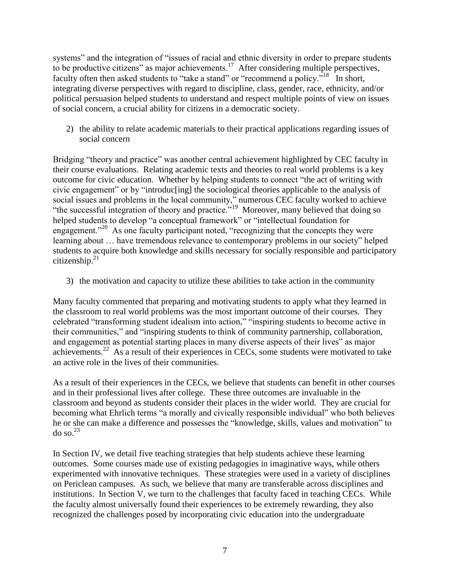systems" and the integration of "issues of racial and ethnic diversity in order to prepare students to be productive citizens" as major achievements.<sup>17</sup> After considering multiple perspectives, faculty often then asked students to "take a stand" or "recommend a policy."<sup>18</sup> In short, integrating diverse perspectives with regard to discipline, class, gender, race, ethnicity, and/or political persuasion helped students to understand and respect multiple points of view on issues of social concern, a crucial ability for citizens in a democratic society.

2) the ability to relate academic materials to their practical applications regarding issues of social concern

Bridging "theory and practice" was another central achievement highlighted by CEC faculty in their course evaluations. Relating academic texts and theories to real world problems is a key outcome for civic education. Whether by helping students to connect "the act of writing with civic engagement" or by "introducting] the sociological theories applicable to the analysis of social issues and problems in the local community," numerous CEC faculty worked to achieve "the successful integration of theory and practice."<sup>19</sup> Moreover, many believed that doing so helped students to develop "a conceptual framework" or "intellectual foundation for engagement."<sup>20</sup> As one faculty participant noted, "recognizing that the concepts they were learning about ... have tremendous relevance to contemporary problems in our society" helped students to acquire both knowledge and skills necessary for socially responsible and participatory citizenship. $21$ 

3) the motivation and capacity to utilize these abilities to take action in the community

Many faculty commented that preparing and motivating students to apply what they learned in the classroom to real world problems was the most important outcome of their courses. They celebrated "transforming student idealism into action," "inspiring students to become active in their communities," and "inspiring students to think of community partnership, collaboration, and engagement as potential starting places in many diverse aspects of their lives" as major achievements.<sup>22</sup> As a result of their experiences in CECs, some students were motivated to take an active role in the lives of their communities.

As a result of their experiences in the CECs, we believe that students can benefit in other courses and in their professional lives after college. These three outcomes are invaluable in the classroom and beyond as students consider their places in the wider world. They are crucial for becoming what Ehrlich terms "a morally and civically responsible individual" who both believes he or she can make a difference and possesses the "knowledge, skills, values and motivation" to  $\log 23$ 

In Section IV, we detail five teaching strategies that help students achieve these learning outcomes. Some courses made use of existing pedagogies in imaginative ways, while others experimented with innovative techniques. These strategies were used in a variety of disciplines on Periclean campuses. As such, we believe that many are transferable across disciplines and institutions. In Section V, we turn to the challenges that faculty faced in teaching CECs. While the faculty almost universally found their experiences to be extremely rewarding, they also recognized the challenges posed by incorporating civic education into the undergraduate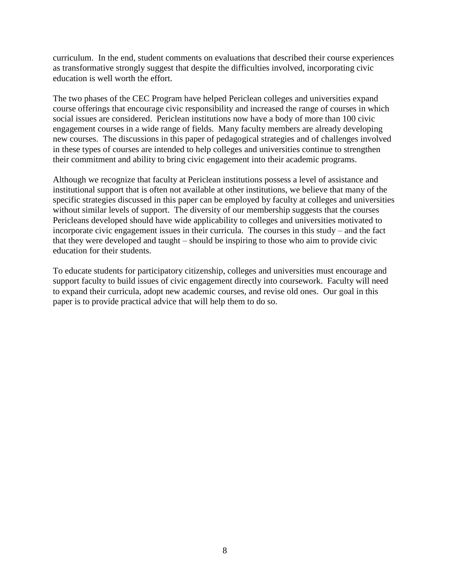curriculum. In the end, student comments on evaluations that described their course experiences as transformative strongly suggest that despite the difficulties involved, incorporating civic education is well worth the effort.

The two phases of the CEC Program have helped Periclean colleges and universities expand course offerings that encourage civic responsibility and increased the range of courses in which social issues are considered. Periclean institutions now have a body of more than 100 civic engagement courses in a wide range of fields. Many faculty members are already developing new courses. The discussions in this paper of pedagogical strategies and of challenges involved in these types of courses are intended to help colleges and universities continue to strengthen their commitment and ability to bring civic engagement into their academic programs.

Although we recognize that faculty at Periclean institutions possess a level of assistance and institutional support that is often not available at other institutions, we believe that many of the specific strategies discussed in this paper can be employed by faculty at colleges and universities without similar levels of support. The diversity of our membership suggests that the courses Pericleans developed should have wide applicability to colleges and universities motivated to incorporate civic engagement issues in their curricula. The courses in this study – and the fact that they were developed and taught – should be inspiring to those who aim to provide civic education for their students.

To educate students for participatory citizenship, colleges and universities must encourage and support faculty to build issues of civic engagement directly into coursework. Faculty will need to expand their curricula, adopt new academic courses, and revise old ones. Our goal in this paper is to provide practical advice that will help them to do so.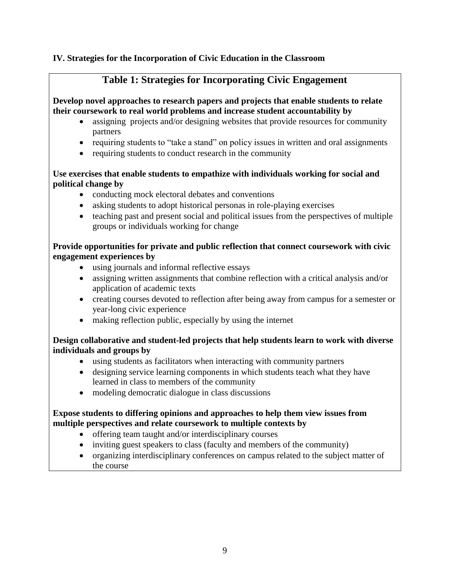# **IV. Strategies for the Incorporation of Civic Education in the Classroom**

# **Table 1: Strategies for Incorporating Civic Engagement**

**Develop novel approaches to research papers and projects that enable students to relate their coursework to real world problems and increase student accountability by**

- assigning projects and/or designing websites that provide resources for community partners
- requiring students to "take a stand" on policy issues in written and oral assignments
- requiring students to conduct research in the community

# **Use exercises that enable students to empathize with individuals working for social and political change by**

- conducting mock electoral debates and conventions
- asking students to adopt historical personas in role-playing exercises
- teaching past and present social and political issues from the perspectives of multiple groups or individuals working for change

# **Provide opportunities for private and public reflection that connect coursework with civic engagement experiences by**

- using journals and informal reflective essays
- assigning written assignments that combine reflection with a critical analysis and/or application of academic texts
- creating courses devoted to reflection after being away from campus for a semester or year-long civic experience
- making reflection public, especially by using the internet

# **Design collaborative and student-led projects that help students learn to work with diverse individuals and groups by**

- using students as facilitators when interacting with community partners
- designing service learning components in which students teach what they have learned in class to members of the community
- modeling democratic dialogue in class discussions

# **Expose students to differing opinions and approaches to help them view issues from multiple perspectives and relate coursework to multiple contexts by**

- offering team taught and/or interdisciplinary courses
- inviting guest speakers to class (faculty and members of the community)
- organizing interdisciplinary conferences on campus related to the subject matter of the course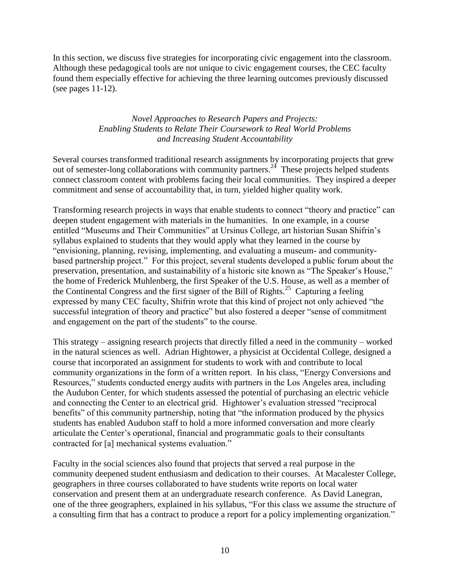In this section, we discuss five strategies for incorporating civic engagement into the classroom. Although these pedagogical tools are not unique to civic engagement courses, the CEC faculty found them especially effective for achieving the three learning outcomes previously discussed (see pages 11-12).

# *Novel Approaches to Research Papers and Projects: Enabling Students to Relate Their Coursework to Real World Problems and Increasing Student Accountability*

Several courses transformed traditional research assignments by incorporating projects that grew out of semester-long collaborations with community partners.<sup>24</sup> These projects helped students connect classroom content with problems facing their local communities. They inspired a deeper commitment and sense of accountability that, in turn, yielded higher quality work.

Transforming research projects in ways that enable students to connect "theory and practice" can deepen student engagement with materials in the humanities.In one example, in a course entitled "Museums and Their Communities" at Ursinus College, art historian Susan Shifrin's syllabus explained to students that they would apply what they learned in the course by "envisioning, planning, revising, implementing, and evaluating a museum- and communitybased partnership project." For this project, several students developed a public forum about the preservation, presentation, and sustainability of a historic site known as "The Speaker's House," the home of Frederick Muhlenberg, the first Speaker of the U.S. House, as well as a member of the Continental Congress and the first signer of the Bill of Rights.<sup>25</sup> Capturing a feeling expressed by many CEC faculty, Shifrin wrote that this kind of project not only achieved "the successful integration of theory and practice" but also fostered a deeper "sense of commitment" and engagement on the part of the students" to the course.

This strategy – assigning research projects that directly filled a need in the community – worked in the natural sciences as well.Adrian Hightower, a physicist at Occidental College, designed a course that incorporated an assignment for students to work with and contribute to local community organizations in the form of a written report. In his class, "Energy Conversions and Resources," students conducted energy audits with partners in the Los Angeles area, including the Audubon Center, for which students assessed the potential of purchasing an electric vehicle and connecting the Center to an electrical grid. Hightower's evaluation stressed "reciprocal" benefits" of this community partnership, noting that "the information produced by the physics students has enabled Audubon staff to hold a more informed conversation and more clearly articulate the Center's operational, financial and programmatic goals to their consultants contracted for [a] mechanical systems evaluation."

Faculty in the social sciences also found that projects that served a real purpose in the community deepened student enthusiasm and dedication to their courses. At Macalester College, geographers in three courses collaborated to have students write reports on local water conservation and present them at an undergraduate research conference. As David Lanegran, one of the three geographers, explained in his syllabus, "For this class we assume the structure of a consulting firm that has a contract to produce a report for a policy implementing organization."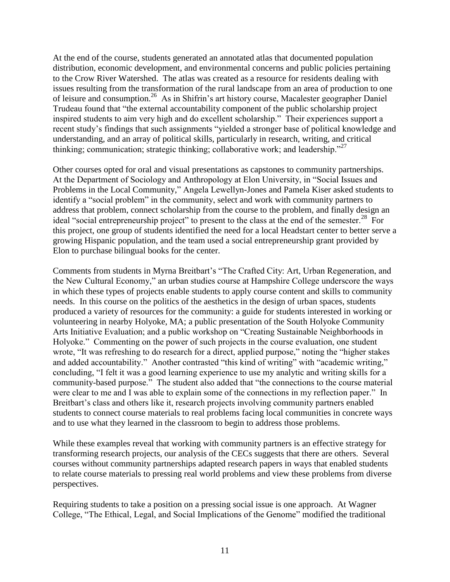At the end of the course, students generated an annotated atlas that documented population distribution, economic development, and environmental concerns and public policies pertaining to the Crow River Watershed. The atlas was created as a resource for residents dealing with issues resulting from the transformation of the rural landscape from an area of production to one of leisure and consumption.<sup>26</sup> As in Shifrin's art history course, Macalester geographer Daniel Trudeau found that "the external accountability component of the public scholarship project inspired students to aim very high and do excellent scholarship." Their experiences support a recent study's findings that such assignments "yielded a stronger base of political knowledge and understanding, and an array of political skills, particularly in research, writing, and critical thinking; communication; strategic thinking; collaborative work; and leadership. $27$ 

Other courses opted for oral and visual presentations as capstones to community partnerships. At the Department of Sociology and Anthropology at Elon University, in "Social Issues and Problems in the Local Community," Angela Lewellyn-Jones and Pamela Kiser asked students to identify a "social problem" in the community, select and work with community partners to address that problem, connect scholarship from the course to the problem, and finally design an ideal "social entrepreneurship project" to present to the class at the end of the semester.<sup>28</sup> For this project, one group of students identified the need for a local Headstart center to better serve a growing Hispanic population, and the team used a social entrepreneurship grant provided by Elon to purchase bilingual books for the center.

Comments from students in Myrna Breitbart's "The Crafted City: Art, Urban Regeneration, and the New Cultural Economy," an urban studies course at Hampshire College underscore the ways in which these types of projects enable students to apply course content and skills to community needs. In this course on the politics of the aesthetics in the design of urban spaces, students produced a variety of resources for the community: a guide for students interested in working or volunteering in nearby Holyoke, MA; a public presentation of the South Holyoke Community Arts Initiative Evaluation; and a public workshop on "Creating Sustainable Neighborhoods in Holyoke." Commenting on the power of such projects in the course evaluation, one student wrote, "It was refreshing to do research for a direct, applied purpose," noting the "higher stakes" and added accountability." Another contrasted "this kind of writing" with "academic writing," concluding, "I felt it was a good learning experience to use my analytic and writing skills for a community-based purpose." The student also added that "the connections to the course material were clear to me and I was able to explain some of the connections in my reflection paper." In Breitbart's class and others like it, research projects involving community partners enabled students to connect course materials to real problems facing local communities in concrete ways and to use what they learned in the classroom to begin to address those problems.

While these examples reveal that working with community partners is an effective strategy for transforming research projects, our analysis of the CECs suggests that there are others. Several courses without community partnerships adapted research papers in ways that enabled students to relate course materials to pressing real world problems and view these problems from diverse perspectives.

Requiring students to take a position on a pressing social issue is one approach. At Wagner College, "The Ethical, Legal, and Social Implications of the Genome" modified the traditional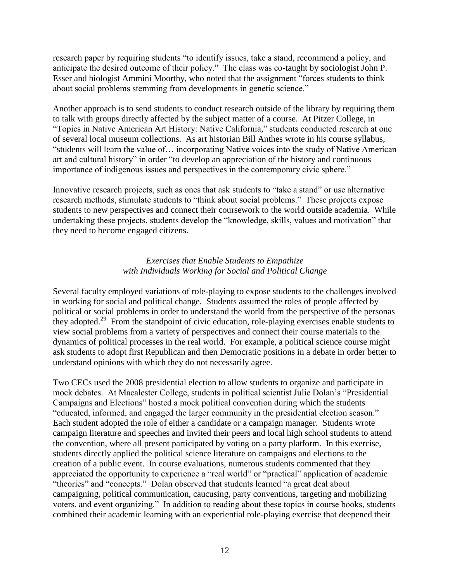research paper by requiring students "to identify issues, take a stand, recommend a policy, and anticipate the desired outcome of their policy." The class was co-taught by sociologist John P. Esser and biologist Ammini Moorthy, who noted that the assignment "forces students to think about social problems stemming from developments in genetic science."

Another approach is to send students to conduct research outside of the library by requiring them to talk with groups directly affected by the subject matter of a course. At Pitzer College, in "Topics in Native American Art History: Native California," students conducted research at one of several local museum collections. As art historian Bill Anthes wrote in his course syllabus, ―students will learn the value of… incorporating Native voices into the study of Native American art and cultural history" in order "to develop an appreciation of the history and continuous importance of indigenous issues and perspectives in the contemporary civic sphere."

Innovative research projects, such as ones that ask students to "take a stand" or use alternative research methods, stimulate students to "think about social problems." These projects expose students to new perspectives and connect their coursework to the world outside academia. While undertaking these projects, students develop the "knowledge, skills, values and motivation" that they need to become engaged citizens.

# *Exercises that Enable Students to Empathize with Individuals Working for Social and Political Change*

Several faculty employed variations of role-playing to expose students to the challenges involved in working for social and political change. Students assumed the roles of people affected by political or social problems in order to understand the world from the perspective of the personas they adopted.<sup>29</sup> From the standpoint of civic education, role-playing exercises enable students to view social problems from a variety of perspectives and connect their course materials to the dynamics of political processes in the real world. For example, a political science course might ask students to adopt first Republican and then Democratic positions in a debate in order better to understand opinions with which they do not necessarily agree.

Two CECs used the 2008 presidential election to allow students to organize and participate in mock debates. At Macalester College, students in political scientist Julie Dolan's "Presidential" Campaigns and Elections" hosted a mock political convention during which the students "educated, informed, and engaged the larger community in the presidential election season." Each student adopted the role of either a candidate or a campaign manager. Students wrote campaign literature and speeches and invited their peers and local high school students to attend the convention, where all present participated by voting on a party platform. In this exercise, students directly applied the political science literature on campaigns and elections to the creation of a public event. In course evaluations, numerous students commented that they appreciated the opportunity to experience a "real world" or "practical" application of academic "theories" and "concepts." Dolan observed that students learned "a great deal about campaigning, political communication, caucusing, party conventions, targeting and mobilizing voters, and event organizing." In addition to reading about these topics in course books, students combined their academic learning with an experiential role-playing exercise that deepened their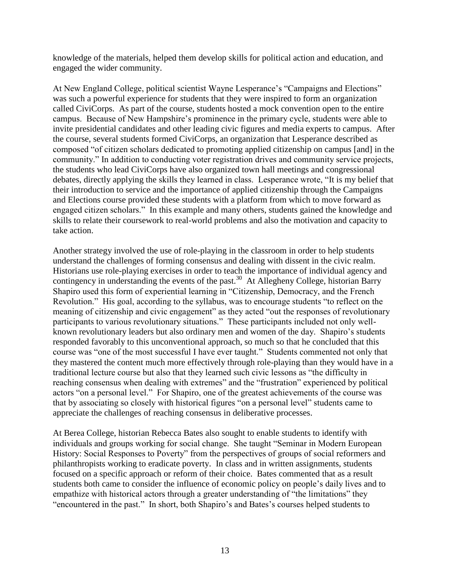knowledge of the materials, helped them develop skills for political action and education, and engaged the wider community.

At New England College, political scientist Wayne Lesperance's "Campaigns and Elections" was such a powerful experience for students that they were inspired to form an organization called CiviCorps. As part of the course, students hosted a mock convention open to the entire campus. Because of New Hampshire's prominence in the primary cycle, students were able to invite presidential candidates and other leading civic figures and media experts to campus. After the course, several students formed CiviCorps, an organization that Lesperance described as composed "of citizen scholars dedicated to promoting applied citizenship on campus [and] in the community." In addition to conducting voter registration drives and community service projects, the students who lead CiviCorps have also organized town hall meetings and congressional debates, directly applying the skills they learned in class. Lesperance wrote, "It is my belief that their introduction to service and the importance of applied citizenship through the Campaigns and Elections course provided these students with a platform from which to move forward as engaged citizen scholars." In this example and many others, students gained the knowledge and skills to relate their coursework to real-world problems and also the motivation and capacity to take action.

Another strategy involved the use of role-playing in the classroom in order to help students understand the challenges of forming consensus and dealing with dissent in the civic realm. Historians use role-playing exercises in order to teach the importance of individual agency and contingency in understanding the events of the past.<sup>30</sup> At Allegheny College, historian Barry Shapiro used this form of experiential learning in "Citizenship, Democracy, and the French Revolution." His goal, according to the syllabus, was to encourage students "to reflect on the meaning of citizenship and civic engagement" as they acted "out the responses of revolutionary participants to various revolutionary situations." These participants included not only wellknown revolutionary leaders but also ordinary men and women of the day. Shapiro's students responded favorably to this unconventional approach, so much so that he concluded that this course was "one of the most successful I have ever taught." Students commented not only that they mastered the content much more effectively through role-playing than they would have in a traditional lecture course but also that they learned such civic lessons as "the difficulty in reaching consensus when dealing with extremes" and the "frustration" experienced by political actors "on a personal level." For Shapiro, one of the greatest achievements of the course was that by associating so closely with historical figures "on a personal level" students came to appreciate the challenges of reaching consensus in deliberative processes.

At Berea College, historian Rebecca Bates also sought to enable students to identify with individuals and groups working for social change. She taught "Seminar in Modern European History: Social Responses to Poverty" from the perspectives of groups of social reformers and philanthropists working to eradicate poverty. In class and in written assignments, students focused on a specific approach or reform of their choice. Bates commented that as a result students both came to consider the influence of economic policy on people's daily lives and to empathize with historical actors through a greater understanding of "the limitations" they "encountered in the past." In short, both Shapiro's and Bates's courses helped students to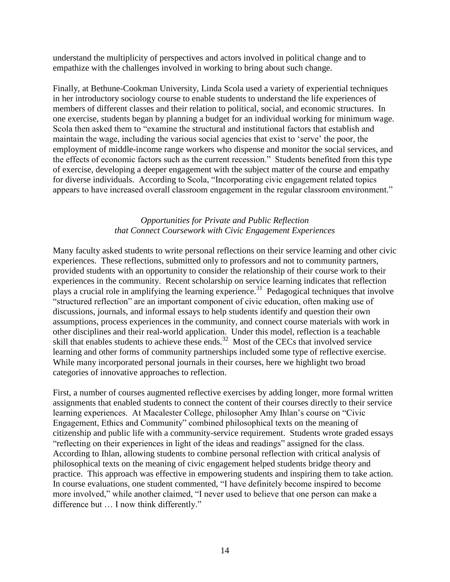understand the multiplicity of perspectives and actors involved in political change and to empathize with the challenges involved in working to bring about such change.

Finally, at Bethune-Cookman University, Linda Scola used a variety of experiential techniques in her introductory sociology course to enable students to understand the life experiences of members of different classes and their relation to political, social, and economic structures. In one exercise, students began by planning a budget for an individual working for minimum wage. Scola then asked them to "examine the structural and institutional factors that establish and maintain the wage, including the various social agencies that exist to 'serve' the poor, the employment of middle-income range workers who dispense and monitor the social services, and the effects of economic factors such as the current recession." Students benefited from this type of exercise, developing a deeper engagement with the subject matter of the course and empathy for diverse individuals. According to Scola, "Incorporating civic engagement related topics appears to have increased overall classroom engagement in the regular classroom environment."

# *Opportunities for Private and Public Reflection that Connect Coursework with Civic Engagement Experiences*

Many faculty asked students to write personal reflections on their service learning and other civic experiences. These reflections, submitted only to professors and not to community partners, provided students with an opportunity to consider the relationship of their course work to their experiences in the community. Recent scholarship on service learning indicates that reflection plays a crucial role in amplifying the learning experience.<sup>31</sup> Pedagogical techniques that involve ―structured reflection‖ are an important component of civic education, often making use of discussions, journals, and informal essays to help students identify and question their own assumptions, process experiences in the community, and connect course materials with work in other disciplines and their real-world application. Under this model, reflection is a teachable skill that enables students to achieve these ends.<sup>32</sup> Most of the CECs that involved service learning and other forms of community partnerships included some type of reflective exercise. While many incorporated personal journals in their courses, here we highlight two broad categories of innovative approaches to reflection.

First, a number of courses augmented reflective exercises by adding longer, more formal written assignments that enabled students to connect the content of their courses directly to their service learning experiences. At Macalester College, philosopher Amy Ihlan's course on "Civic Engagement, Ethics and Community" combined philosophical texts on the meaning of citizenship and public life with a community-service requirement. Students wrote graded essays ―reflecting on their experiences in light of the ideas and readings‖ assigned for the class. According to Ihlan, allowing students to combine personal reflection with critical analysis of philosophical texts on the meaning of civic engagement helped students bridge theory and practice. This approach was effective in empowering students and inspiring them to take action. In course evaluations, one student commented, "I have definitely become inspired to become more involved," while another claimed, "I never used to believe that one person can make a difference but ... I now think differently."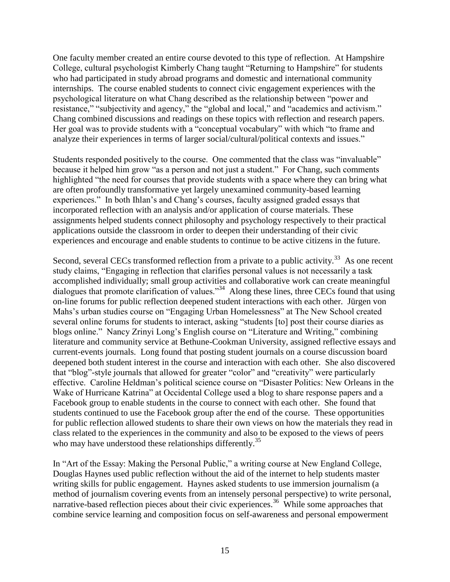One faculty member created an entire course devoted to this type of reflection.At Hampshire College, cultural psychologist Kimberly Chang taught "Returning to Hampshire" for students who had participated in study abroad programs and domestic and international community internships. The course enabled students to connect civic engagement experiences with the psychological literature on what Chang described as the relationship between "power and resistance," "subjectivity and agency," the "global and local," and "academics and activism." Chang combined discussions and readings on these topics with reflection and research papers. Her goal was to provide students with a "conceptual vocabulary" with which "to frame and analyze their experiences in terms of larger social/cultural/political contexts and issues."

Students responded positively to the course. One commented that the class was "invaluable" because it helped him grow "as a person and not just a student." For Chang, such comments highlighted "the need for courses that provide students with a space where they can bring what are often profoundly transformative yet largely unexamined community-based learning experiences." In both Ihlan's and Chang's courses, faculty assigned graded essays that incorporated reflection with an analysis and/or application of course materials. These assignments helped students connect philosophy and psychology respectively to their practical applications outside the classroom in order to deepen their understanding of their civic experiences and encourage and enable students to continue to be active citizens in the future.

Second, several CECs transformed reflection from a private to a public activity.<sup>33</sup> As one recent study claims, "Engaging in reflection that clarifies personal values is not necessarily a task accomplished individually; small group activities and collaborative work can create meaningful dialogues that promote clarification of values."<sup>34</sup> Along these lines, three CECs found that using on-line forums for public reflection deepened student interactions with each other. Jürgen von Mahs's urban studies course on "Engaging Urban Homelessness" at The New School created several online forums for students to interact, asking "students [to] post their course diaries as blogs online." Nancy Zrinyi Long's English course on "Literature and Writing," combining literature and community service at Bethune-Cookman University, assigned reflective essays and current-events journals. Long found that posting student journals on a course discussion board deepened both student interest in the course and interaction with each other. She also discovered that "blog"-style journals that allowed for greater "color" and "creativity" were particularly effective. Caroline Heldman's political science course on "Disaster Politics: New Orleans in the Wake of Hurricane Katrina" at Occidental College used a blog to share response papers and a Facebook group to enable students in the course to connect with each other. She found that students continued to use the Facebook group after the end of the course. These opportunities for public reflection allowed students to share their own views on how the materials they read in class related to the experiences in the community and also to be exposed to the views of peers who may have understood these relationships differently.<sup>35</sup>

In "Art of the Essay: Making the Personal Public," a writing course at New England College, Douglas Haynes used public reflection without the aid of the internet to help students master writing skills for public engagement. Haynes asked students to use immersion journalism (a method of journalism covering events from an intensely personal perspective) to write personal, narrative-based reflection pieces about their civic experiences.<sup>36</sup> While some approaches that combine service learning and composition focus on self-awareness and personal empowerment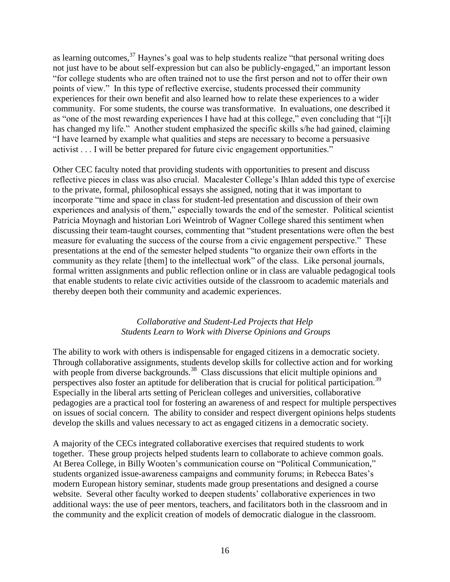as learning outcomes,  $37$  Haynes's goal was to help students realize "that personal writing does not just have to be about self-expression but can also be publicly-engaged," an important lesson ―for college students who are often trained not to use the first person and not to offer their own points of view." In this type of reflective exercise, students processed their community experiences for their own benefit and also learned how to relate these experiences to a wider community. For some students, the course was transformative. In evaluations, one described it as "one of the most rewarding experiences I have had at this college," even concluding that "[i]t has changed my life." Another student emphasized the specific skills s/he had gained, claiming ―I have learned by example what qualities and steps are necessary to become a persuasive activist . . . I will be better prepared for future civic engagement opportunities."

Other CEC faculty noted that providing students with opportunities to present and discuss reflective pieces in class was also crucial. Macalester College's Ihlan added this type of exercise to the private, formal, philosophical essays she assigned, noting that it was important to incorporate "time and space in class for student-led presentation and discussion of their own experiences and analysis of them," especially towards the end of the semester. Political scientist Patricia Moynagh and historian Lori Weintrob of Wagner College shared this sentiment when discussing their team-taught courses, commenting that "student presentations were often the best measure for evaluating the success of the course from a civic engagement perspective." These presentations at the end of the semester helped students "to organize their own efforts in the community as they relate [them] to the intellectual work" of the class. Like personal journals, formal written assignments and public reflection online or in class are valuable pedagogical tools that enable students to relate civic activities outside of the classroom to academic materials and thereby deepen both their community and academic experiences.

# *Collaborative and Student-Led Projects that Help Students Learn to Work with Diverse Opinions and Groups*

The ability to work with others is indispensable for engaged citizens in a democratic society. Through collaborative assignments, students develop skills for collective action and for working with people from diverse backgrounds.<sup>38</sup> Class discussions that elicit multiple opinions and perspectives also foster an aptitude for deliberation that is crucial for political participation.<sup>39</sup> Especially in the liberal arts setting of Periclean colleges and universities, collaborative pedagogies are a practical tool for fostering an awareness of and respect for multiple perspectives on issues of social concern. The ability to consider and respect divergent opinions helps students develop the skills and values necessary to act as engaged citizens in a democratic society.

A majority of the CECs integrated collaborative exercises that required students to work together. These group projects helped students learn to collaborate to achieve common goals. At Berea College, in Billy Wooten's communication course on "Political Communication," students organized issue-awareness campaigns and community forums; in Rebecca Bates's modern European history seminar, students made group presentations and designed a course website. Several other faculty worked to deepen students' collaborative experiences in two additional ways: the use of peer mentors, teachers, and facilitators both in the classroom and in the community and the explicit creation of models of democratic dialogue in the classroom.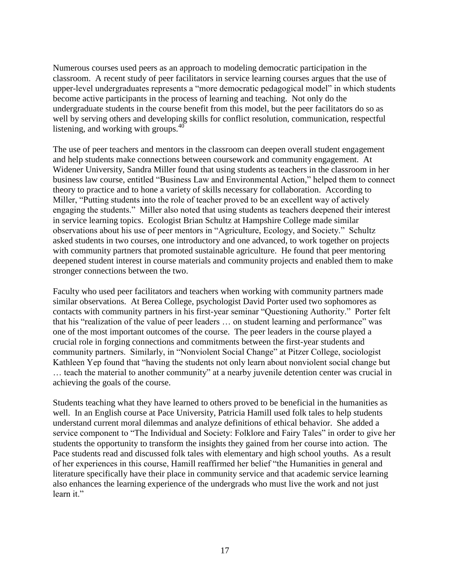Numerous courses used peers as an approach to modeling democratic participation in the classroom. A recent study of peer facilitators in service learning courses argues that the use of upper-level undergraduates represents a "more democratic pedagogical model" in which students become active participants in the process of learning and teaching. Not only do the undergraduate students in the course benefit from this model, but the peer facilitators do so as well by serving others and developing skills for conflict resolution, communication, respectful listening, and working with groups. $40$ 

The use of peer teachers and mentors in the classroom can deepen overall student engagement and help students make connections between coursework and community engagement. At Widener University, Sandra Miller found that using students as teachers in the classroom in her business law course, entitled "Business Law and Environmental Action," helped them to connect theory to practice and to hone a variety of skills necessary for collaboration. According to Miller, "Putting students into the role of teacher proved to be an excellent way of actively engaging the students." Miller also noted that using students as teachers deepened their interest in service learning topics. Ecologist Brian Schultz at Hampshire College made similar observations about his use of peer mentors in "Agriculture, Ecology, and Society." Schultz asked students in two courses, one introductory and one advanced, to work together on projects with community partners that promoted sustainable agriculture. He found that peer mentoring deepened student interest in course materials and community projects and enabled them to make stronger connections between the two.

Faculty who used peer facilitators and teachers when working with community partners made similar observations. At Berea College, psychologist David Porter used two sophomores as contacts with community partners in his first-year seminar "Questioning Authority." Porter felt that his "realization of the value of peer leaders ... on student learning and performance" was one of the most important outcomes of the course. The peer leaders in the course played a crucial role in forging connections and commitments between the first-year students and community partners. Similarly, in "Nonviolent Social Change" at Pitzer College, sociologist Kathleen Yep found that "having the students not only learn about nonviolent social change but ... teach the material to another community" at a nearby juvenile detention center was crucial in achieving the goals of the course.

Students teaching what they have learned to others proved to be beneficial in the humanities as well. In an English course at Pace University, Patricia Hamill used folk tales to help students understand current moral dilemmas and analyze definitions of ethical behavior. She added a service component to "The Individual and Society: Folklore and Fairy Tales" in order to give her students the opportunity to transform the insights they gained from her course into action. The Pace students read and discussed folk tales with elementary and high school youths. As a result of her experiences in this course, Hamill reaffirmed her belief "the Humanities in general and literature specifically have their place in community service and that academic service learning also enhances the learning experience of the undergrads who must live the work and not just learn it."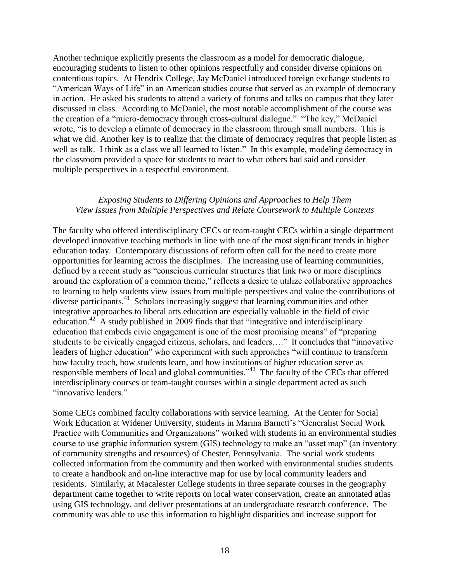Another technique explicitly presents the classroom as a model for democratic dialogue, encouraging students to listen to other opinions respectfully and consider diverse opinions on contentious topics. At Hendrix College, Jay McDaniel introduced foreign exchange students to "American Ways of Life" in an American studies course that served as an example of democracy in action. He asked his students to attend a variety of forums and talks on campus that they later discussed in class. According to McDaniel, the most notable accomplishment of the course was the creation of a "micro-democracy through cross-cultural dialogue." "The key," McDaniel wrote, "is to develop a climate of democracy in the classroom through small numbers. This is what we did. Another key is to realize that the climate of democracy requires that people listen as well as talk. I think as a class we all learned to listen." In this example, modeling democracy in the classroom provided a space for students to react to what others had said and consider multiple perspectives in a respectful environment.

## *Exposing Students to Differing Opinions and Approaches to Help Them View Issues from Multiple Perspectives and Relate Coursework to Multiple Contexts*

The faculty who offered interdisciplinary CECs or team-taught CECs within a single department developed innovative teaching methods in line with one of the most significant trends in higher education today. Contemporary discussions of reform often call for the need to create more opportunities for learning across the disciplines. The increasing use of learning communities, defined by a recent study as "conscious curricular structures that link two or more disciplines around the exploration of a common theme," reflects a desire to utilize collaborative approaches to learning to help students view issues from multiple perspectives and value the contributions of diverse participants.<sup>41</sup> Scholars increasingly suggest that learning communities and other integrative approaches to liberal arts education are especially valuable in the field of civic education.<sup>42</sup> A study published in 2009 finds that that "integrative and interdisciplinary education that embeds civic engagement is one of the most promising means" of "preparing students to be civically engaged citizens, scholars, and leaders…." It concludes that "innovative leaders of higher education" who experiment with such approaches "will continue to transform how faculty teach, how students learn, and how institutions of higher education serve as responsible members of local and global communities."<sup>43</sup> The faculty of the CECs that offered interdisciplinary courses or team-taught courses within a single department acted as such "innovative leaders."

Some CECs combined faculty collaborations with service learning. At the Center for Social Work Education at Widener University, students in Marina Barnett's "Generalist Social Work Practice with Communities and Organizations" worked with students in an environmental studies course to use graphic information system (GIS) technology to make an "asset map" (an inventory of community strengths and resources) of Chester, Pennsylvania. The social work students collected information from the community and then worked with environmental studies students to create a handbook and on-line interactive map for use by local community leaders and residents. Similarly, at Macalester College students in three separate courses in the geography department came together to write reports on local water conservation, create an annotated atlas using GIS technology, and deliver presentations at an undergraduate research conference. The community was able to use this information to highlight disparities and increase support for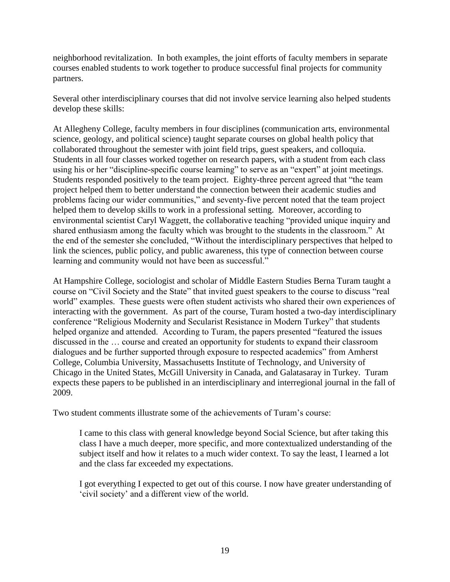neighborhood revitalization. In both examples, the joint efforts of faculty members in separate courses enabled students to work together to produce successful final projects for community partners.

Several other interdisciplinary courses that did not involve service learning also helped students develop these skills:

At Allegheny College, faculty members in four disciplines (communication arts, environmental science, geology, and political science) taught separate courses on global health policy that collaborated throughout the semester with joint field trips, guest speakers, and colloquia. Students in all four classes worked together on research papers, with a student from each class using his or her "discipline-specific course learning" to serve as an "expert" at joint meetings. Students responded positively to the team project. Eighty-three percent agreed that "the team" project helped them to better understand the connection between their academic studies and problems facing our wider communities," and seventy-five percent noted that the team project helped them to develop skills to work in a professional setting. Moreover, according to environmental scientist Caryl Waggett, the collaborative teaching "provided unique inquiry and shared enthusiasm among the faculty which was brought to the students in the classroom." At the end of the semester she concluded, "Without the interdisciplinary perspectives that helped to link the sciences, public policy, and public awareness, this type of connection between course learning and community would not have been as successful."

At Hampshire College, sociologist and scholar of Middle Eastern Studies Berna Turam taught a course on "Civil Society and the State" that invited guest speakers to the course to discuss "real world" examples. These guests were often student activists who shared their own experiences of interacting with the government. As part of the course, Turam hosted a two-day interdisciplinary conference "Religious Modernity and Secularist Resistance in Modern Turkey" that students helped organize and attended. According to Turam, the papers presented "featured the issues discussed in the … course and created an opportunity for students to expand their classroom dialogues and be further supported through exposure to respected academics" from Amherst College, Columbia University, Massachusetts Institute of Technology, and University of Chicago in the United States, McGill University in Canada, and Galatasaray in Turkey. Turam expects these papers to be published in an interdisciplinary and interregional journal in the fall of 2009.

Two student comments illustrate some of the achievements of Turam's course:

I came to this class with general knowledge beyond Social Science, but after taking this class I have a much deeper, more specific, and more contextualized understanding of the subject itself and how it relates to a much wider context. To say the least, I learned a lot and the class far exceeded my expectations.

I got everything I expected to get out of this course. I now have greater understanding of ‗civil society' and a different view of the world.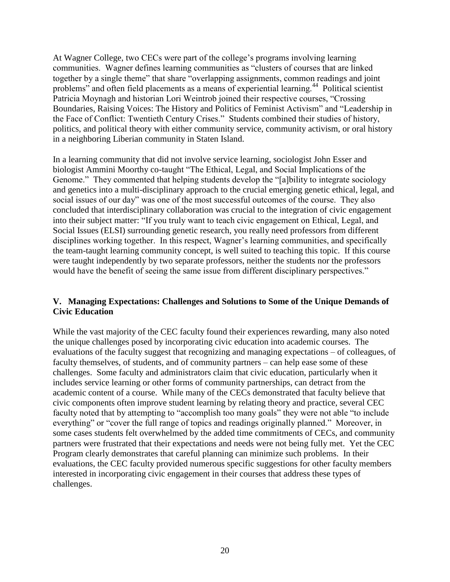At Wagner College, two CECs were part of the college's programs involving learning communities. Wagner defines learning communities as "clusters of courses that are linked together by a single theme" that share "overlapping assignments, common readings and joint problems" and often field placements as a means of experiential learning.<sup>44</sup> Political scientist Patricia Moynagh and historian Lori Weintrob joined their respective courses, "Crossing Boundaries, Raising Voices: The History and Politics of Feminist Activism" and "Leadership in the Face of Conflict: Twentieth Century Crises.‖ Students combined their studies of history, politics, and political theory with either community service, community activism, or oral history in a neighboring Liberian community in Staten Island.

In a learning community that did not involve service learning, sociologist John Esser and biologist Ammini Moorthy co-taught "The Ethical, Legal, and Social Implications of the Genome." They commented that helping students develop the "[a]bility to integrate sociology and genetics into a multi-disciplinary approach to the crucial emerging genetic ethical, legal, and social issues of our day" was one of the most successful outcomes of the course. They also concluded that interdisciplinary collaboration was crucial to the integration of civic engagement into their subject matter: "If you truly want to teach civic engagement on Ethical, Legal, and Social Issues (ELSI) surrounding genetic research, you really need professors from different disciplines working together. In this respect, Wagner's learning communities, and specifically the team-taught learning community concept, is well suited to teaching this topic. If this course were taught independently by two separate professors, neither the students nor the professors would have the benefit of seeing the same issue from different disciplinary perspectives."

# **V. Managing Expectations: Challenges and Solutions to Some of the Unique Demands of Civic Education**

While the vast majority of the CEC faculty found their experiences rewarding, many also noted the unique challenges posed by incorporating civic education into academic courses. The evaluations of the faculty suggest that recognizing and managing expectations – of colleagues, of faculty themselves, of students, and of community partners – can help ease some of these challenges. Some faculty and administrators claim that civic education, particularly when it includes service learning or other forms of community partnerships, can detract from the academic content of a course. While many of the CECs demonstrated that faculty believe that civic components often improve student learning by relating theory and practice, several CEC faculty noted that by attempting to "accomplish too many goals" they were not able "to include everything" or "cover the full range of topics and readings originally planned." Moreover, in some cases students felt overwhelmed by the added time commitments of CECs, and community partners were frustrated that their expectations and needs were not being fully met. Yet the CEC Program clearly demonstrates that careful planning can minimize such problems. In their evaluations, the CEC faculty provided numerous specific suggestions for other faculty members interested in incorporating civic engagement in their courses that address these types of challenges.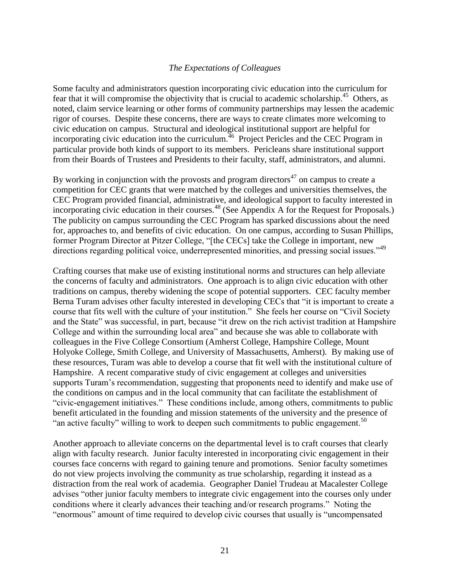## *The Expectations of Colleagues*

Some faculty and administrators question incorporating civic education into the curriculum for fear that it will compromise the objectivity that is crucial to academic scholarship.<sup>45</sup> Others, as noted, claim service learning or other forms of community partnerships may lessen the academic rigor of courses. Despite these concerns, there are ways to create climates more welcoming to civic education on campus. Structural and ideological institutional support are helpful for incorporating civic education into the curriculum.<sup> $46$ </sup> Project Pericles and the CEC Program in particular provide both kinds of support to its members. Pericleans share institutional support from their Boards of Trustees and Presidents to their faculty, staff, administrators, and alumni.

By working in conjunction with the provosts and program directors<sup>47</sup> on campus to create a competition for CEC grants that were matched by the colleges and universities themselves, the CEC Program provided financial, administrative, and ideological support to faculty interested in incorporating civic education in their courses.<sup>48</sup> (See Appendix A for the Request for Proposals.) The publicity on campus surrounding the CEC Program has sparked discussions about the need for, approaches to, and benefits of civic education. On one campus, according to Susan Phillips, former Program Director at Pitzer College, "[the CECs] take the College in important, new directions regarding political voice, underrepresented minorities, and pressing social issues."<sup>49</sup>

Crafting courses that make use of existing institutional norms and structures can help alleviate the concerns of faculty and administrators. One approach is to align civic education with other traditions on campus, thereby widening the scope of potential supporters. CEC faculty member Berna Turam advises other faculty interested in developing CECs that "it is important to create a course that fits well with the culture of your institution." She feels her course on "Civil Society" and the State" was successful, in part, because "it drew on the rich activist tradition at Hampshire College and within the surrounding local area" and because she was able to collaborate with colleagues in the Five College Consortium (Amherst College, Hampshire College, Mount Holyoke College, Smith College, and University of Massachusetts, Amherst). By making use of these resources, Turam was able to develop a course that fit well with the institutional culture of Hampshire. A recent comparative study of civic engagement at colleges and universities supports Turam's recommendation, suggesting that proponents need to identify and make use of the conditions on campus and in the local community that can facilitate the establishment of ―civic-engagement initiatives.‖ These conditions include, among others, commitments to public benefit articulated in the founding and mission statements of the university and the presence of "an active faculty" willing to work to deepen such commitments to public engagement.<sup>50</sup>

Another approach to alleviate concerns on the departmental level is to craft courses that clearly align with faculty research. Junior faculty interested in incorporating civic engagement in their courses face concerns with regard to gaining tenure and promotions. Senior faculty sometimes do not view projects involving the community as true scholarship, regarding it instead as a distraction from the real work of academia. Geographer Daniel Trudeau at Macalester College advises "other junior faculty members to integrate civic engagement into the courses only under conditions where it clearly advances their teaching and/or research programs." Noting the "enormous" amount of time required to develop civic courses that usually is "uncompensated"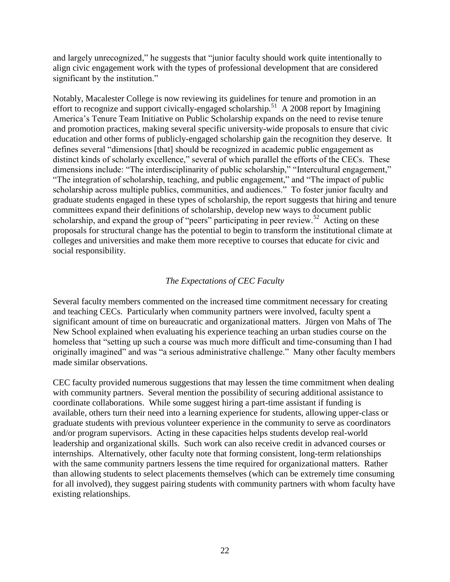and largely unrecognized," he suggests that "junior faculty should work quite intentionally to align civic engagement work with the types of professional development that are considered significant by the institution."

Notably, Macalester College is now reviewing its guidelines for tenure and promotion in an effort to recognize and support civically-engaged scholarship.<sup>51</sup> A 2008 report by Imagining America's Tenure Team Initiative on Public Scholarship expands on the need to revise tenure and promotion practices, making several specific university-wide proposals to ensure that civic education and other forms of publicly-engaged scholarship gain the recognition they deserve. It defines several "dimensions [that] should be recognized in academic public engagement as distinct kinds of scholarly excellence," several of which parallel the efforts of the CECs. These dimensions include: "The interdisciplinarity of public scholarship," "Intercultural engagement," "The integration of scholarship, teaching, and public engagement," and "The impact of public scholarship across multiple publics, communities, and audiences." To foster junior faculty and graduate students engaged in these types of scholarship, the report suggests that hiring and tenure committees expand their definitions of scholarship, develop new ways to document public scholarship, and expand the group of "peers" participating in peer review.<sup>52</sup> Acting on these proposals for structural change has the potential to begin to transform the institutional climate at colleges and universities and make them more receptive to courses that educate for civic and social responsibility.

# *The Expectations of CEC Faculty*

Several faculty members commented on the increased time commitment necessary for creating and teaching CECs. Particularly when community partners were involved, faculty spent a significant amount of time on bureaucratic and organizational matters. Jürgen von Mahs of The New School explained when evaluating his experience teaching an urban studies course on the homeless that "setting up such a course was much more difficult and time-consuming than I had originally imagined" and was "a serious administrative challenge." Many other faculty members made similar observations.

CEC faculty provided numerous suggestions that may lessen the time commitment when dealing with community partners. Several mention the possibility of securing additional assistance to coordinate collaborations. While some suggest hiring a part-time assistant if funding is available, others turn their need into a learning experience for students, allowing upper-class or graduate students with previous volunteer experience in the community to serve as coordinators and/or program supervisors.Acting in these capacities helps students develop real-world leadership and organizational skills.Such work can also receive credit in advanced courses or internships. Alternatively, other faculty note that forming consistent, long-term relationships with the same community partners lessens the time required for organizational matters. Rather than allowing students to select placements themselves (which can be extremely time consuming for all involved), they suggest pairing students with community partners with whom faculty have existing relationships.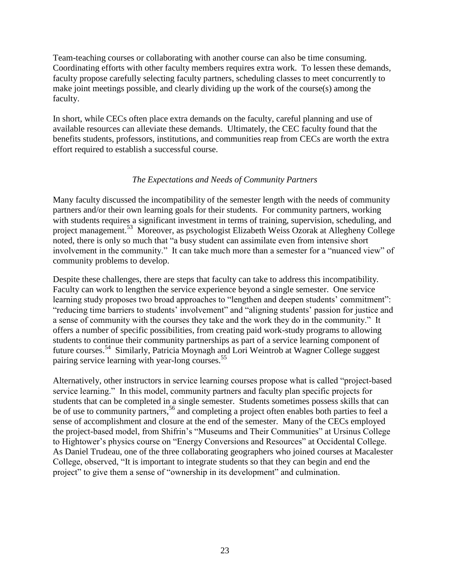Team-teaching courses or collaborating with another course can also be time consuming. Coordinating efforts with other faculty members requires extra work. To lessen these demands, faculty propose carefully selecting faculty partners, scheduling classes to meet concurrently to make joint meetings possible, and clearly dividing up the work of the course(s) among the faculty.

In short, while CECs often place extra demands on the faculty, careful planning and use of available resources can alleviate these demands. Ultimately, the CEC faculty found that the benefits students, professors, institutions, and communities reap from CECs are worth the extra effort required to establish a successful course.

# *The Expectations and Needs of Community Partners*

Many faculty discussed the incompatibility of the semester length with the needs of community partners and/or their own learning goals for their students. For community partners, working with students requires a significant investment in terms of training, supervision, scheduling, and project management.<sup>53</sup> Moreover, as psychologist Elizabeth Weiss Ozorak at Allegheny College noted, there is only so much that "a busy student can assimilate even from intensive short involvement in the community." It can take much more than a semester for a "nuanced view" of community problems to develop.

Despite these challenges, there are steps that faculty can take to address this incompatibility. Faculty can work to lengthen the service experience beyond a single semester. One service learning study proposes two broad approaches to "lengthen and deepen students' commitment": "reducing time barriers to students' involvement" and "aligning students' passion for justice and a sense of community with the courses they take and the work they do in the community." It offers a number of specific possibilities, from creating paid work-study programs to allowing students to continue their community partnerships as part of a service learning component of future courses.<sup>54</sup> Similarly, Patricia Moynagh and Lori Weintrob at Wagner College suggest pairing service learning with year-long courses.<sup>55</sup>

Alternatively, other instructors in service learning courses propose what is called "project-based" service learning." In this model, community partners and faculty plan specific projects for students that can be completed in a single semester. Students sometimes possess skills that can be of use to community partners,<sup>56</sup> and completing a project often enables both parties to feel a sense of accomplishment and closure at the end of the semester. Many of the CECs employed the project-based model, from Shifrin's "Museums and Their Communities" at Ursinus College to Hightower's physics course on "Energy Conversions and Resources" at Occidental College. As Daniel Trudeau, one of the three collaborating geographers who joined courses at Macalester College, observed, "It is important to integrate students so that they can begin and end the project" to give them a sense of "ownership in its development" and culmination.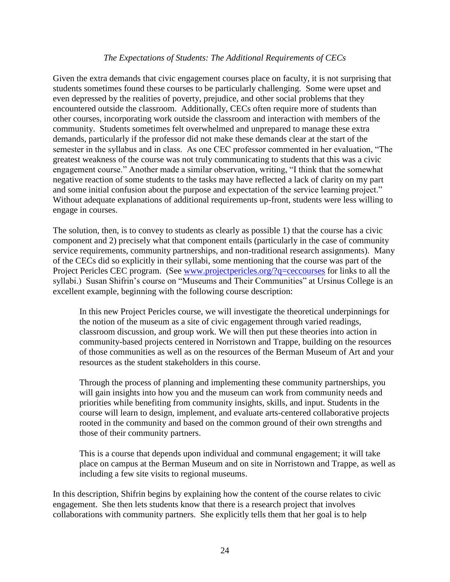## *The Expectations of Students: The Additional Requirements of CECs*

Given the extra demands that civic engagement courses place on faculty, it is not surprising that students sometimes found these courses to be particularly challenging. Some were upset and even depressed by the realities of poverty, prejudice, and other social problems that they encountered outside the classroom. Additionally, CECs often require more of students than other courses, incorporating work outside the classroom and interaction with members of the community. Students sometimes felt overwhelmed and unprepared to manage these extra demands, particularly if the professor did not make these demands clear at the start of the semester in the syllabus and in class. As one CEC professor commented in her evaluation, "The greatest weakness of the course was not truly communicating to students that this was a civic engagement course." Another made a similar observation, writing, "I think that the somewhat negative reaction of some students to the tasks may have reflected a lack of clarity on my part and some initial confusion about the purpose and expectation of the service learning project." Without adequate explanations of additional requirements up-front, students were less willing to engage in courses.

The solution, then, is to convey to students as clearly as possible 1) that the course has a civic component and 2) precisely what that component entails (particularly in the case of community service requirements, community partnerships, and non-traditional research assignments). Many of the CECs did so explicitly in their syllabi, some mentioning that the course was part of the Project Pericles CEC program. (See [www.projectpericles.org/?q=ceccourses](http://www.projectpericles.org/?q=ceccourses) for links to all the syllabi.) Susan Shifrin's course on "Museums and Their Communities" at Ursinus College is an excellent example, beginning with the following course description:

In this new Project Pericles course, we will investigate the theoretical underpinnings for the notion of the museum as a site of civic engagement through varied readings, classroom discussion, and group work. We will then put these theories into action in community-based projects centered in Norristown and Trappe, building on the resources of those communities as well as on the resources of the Berman Museum of Art and your resources as the student stakeholders in this course.

Through the process of planning and implementing these community partnerships, you will gain insights into how you and the museum can work from community needs and priorities while benefiting from community insights, skills, and input. Students in the course will learn to design, implement, and evaluate arts-centered collaborative projects rooted in the community and based on the common ground of their own strengths and those of their community partners.

This is a course that depends upon individual and communal engagement; it will take place on campus at the Berman Museum and on site in Norristown and Trappe, as well as including a few site visits to regional museums.

In this description, Shifrin begins by explaining how the content of the course relates to civic engagement. She then lets students know that there is a research project that involves collaborations with community partners. She explicitly tells them that her goal is to help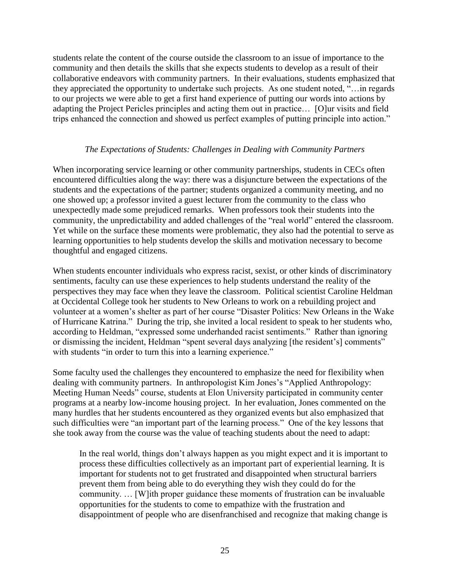students relate the content of the course outside the classroom to an issue of importance to the community and then details the skills that she expects students to develop as a result of their collaborative endeavors with community partners. In their evaluations, students emphasized that they appreciated the opportunity to undertake such projects. As one student noted, "... in regards to our projects we were able to get a first hand experience of putting our words into actions by adapting the Project Pericles principles and acting them out in practice… [O]ur visits and field trips enhanced the connection and showed us perfect examples of putting principle into action."

# *The Expectations of Students: Challenges in Dealing with Community Partners*

When incorporating service learning or other community partnerships, students in CECs often encountered difficulties along the way: there was a disjuncture between the expectations of the students and the expectations of the partner; students organized a community meeting, and no one showed up; a professor invited a guest lecturer from the community to the class who unexpectedly made some prejudiced remarks. When professors took their students into the community, the unpredictability and added challenges of the "real world" entered the classroom. Yet while on the surface these moments were problematic, they also had the potential to serve as learning opportunities to help students develop the skills and motivation necessary to become thoughtful and engaged citizens.

When students encounter individuals who express racist, sexist, or other kinds of discriminatory sentiments, faculty can use these experiences to help students understand the reality of the perspectives they may face when they leave the classroom. Political scientist Caroline Heldman at Occidental College took her students to New Orleans to work on a rebuilding project and volunteer at a women's shelter as part of her course "Disaster Politics: New Orleans in the Wake of Hurricane Katrina." During the trip, she invited a local resident to speak to her students who, according to Heldman, "expressed some underhanded racist sentiments." Rather than ignoring or dismissing the incident, Heldman "spent several days analyzing [the resident's] comments" with students "in order to turn this into a learning experience."

Some faculty used the challenges they encountered to emphasize the need for flexibility when dealing with community partners. In anthropologist Kim Jones's "Applied Anthropology: Meeting Human Needs" course, students at Elon University participated in community center programs at a nearby low-income housing project. In her evaluation, Jones commented on the many hurdles that her students encountered as they organized events but also emphasized that such difficulties were "an important part of the learning process." One of the key lessons that she took away from the course was the value of teaching students about the need to adapt:

In the real world, things don't always happen as you might expect and it is important to process these difficulties collectively as an important part of experiential learning. It is important for students not to get frustrated and disappointed when structural barriers prevent them from being able to do everything they wish they could do for the community. … [W]ith proper guidance these moments of frustration can be invaluable opportunities for the students to come to empathize with the frustration and disappointment of people who are disenfranchised and recognize that making change is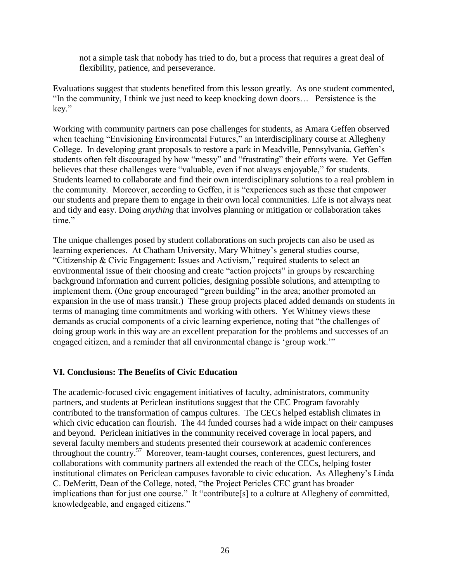not a simple task that nobody has tried to do, but a process that requires a great deal of flexibility, patience, and perseverance.

Evaluations suggest that students benefited from this lesson greatly. As one student commented, "In the community, I think we just need to keep knocking down doors... Persistence is the key."

Working with community partners can pose challenges for students, as Amara Geffen observed when teaching "Envisioning Environmental Futures," an interdisciplinary course at Allegheny College. In developing grant proposals to restore a park in Meadville, Pennsylvania, Geffen's students often felt discouraged by how "messy" and "frustrating" their efforts were. Yet Geffen believes that these challenges were "valuable, even if not always enjoyable," for students. Students learned to collaborate and find their own interdisciplinary solutions to a real problem in the community. Moreover, according to Geffen, it is "experiences such as these that empower our students and prepare them to engage in their own local communities. Life is not always neat and tidy and easy. Doing *anything* that involves planning or mitigation or collaboration takes time."

The unique challenges posed by student collaborations on such projects can also be used as learning experiences. At Chatham University, Mary Whitney's general studies course, "Citizenship & Civic Engagement: Issues and Activism," required students to select an environmental issue of their choosing and create "action projects" in groups by researching background information and current policies, designing possible solutions, and attempting to implement them. (One group encouraged "green building" in the area; another promoted an expansion in the use of mass transit.) These group projects placed added demands on students in terms of managing time commitments and working with others. Yet Whitney views these demands as crucial components of a civic learning experience, noting that "the challenges of doing group work in this way are an excellent preparation for the problems and successes of an engaged citizen, and a reminder that all environmental change is 'group work.'"

# **VI. Conclusions: The Benefits of Civic Education**

The academic-focused civic engagement initiatives of faculty, administrators, community partners, and students at Periclean institutions suggest that the CEC Program favorably contributed to the transformation of campus cultures. The CECs helped establish climates in which civic education can flourish. The 44 funded courses had a wide impact on their campuses and beyond. Periclean initiatives in the community received coverage in local papers, and several faculty members and students presented their coursework at academic conferences throughout the country.<sup>57</sup> Moreover, team-taught courses, conferences, guest lecturers, and collaborations with community partners all extended the reach of the CECs, helping foster institutional climates on Periclean campuses favorable to civic education. As Allegheny's Linda C. DeMeritt, Dean of the College, noted, "the Project Pericles CEC grant has broader implications than for just one course." It "contribute[s] to a culture at Allegheny of committed, knowledgeable, and engaged citizens."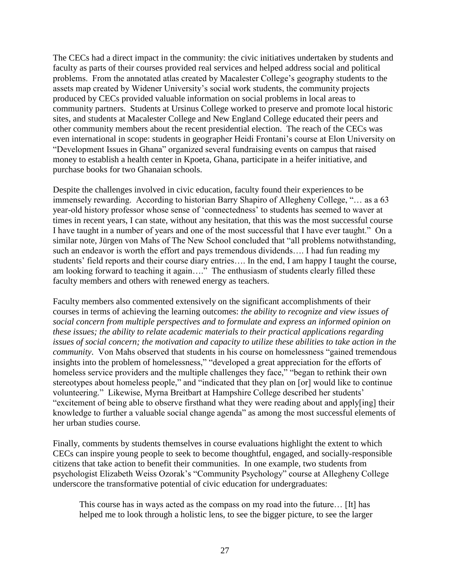The CECs had a direct impact in the community: the civic initiatives undertaken by students and faculty as parts of their courses provided real services and helped address social and political problems. From the annotated atlas created by Macalester College's geography students to the assets map created by Widener University's social work students, the community projects produced by CECs provided valuable information on social problems in local areas to community partners. Students at Ursinus College worked to preserve and promote local historic sites, and students at Macalester College and New England College educated their peers and other community members about the recent presidential election. The reach of the CECs was even international in scope: students in geographer Heidi Frontani's course at Elon University on ―Development Issues in Ghana‖ organized several fundraising events on campus that raised money to establish a health center in Kpoeta, Ghana, participate in a heifer initiative, and purchase books for two Ghanaian schools.

Despite the challenges involved in civic education, faculty found their experiences to be immensely rewarding. According to historian Barry Shapiro of Allegheny College, "... as a 63 year-old history professor whose sense of ‗connectedness' to students has seemed to waver at times in recent years, I can state, without any hesitation, that this was the most successful course I have taught in a number of years and one of the most successful that I have ever taught." On a similar note, Jürgen von Mahs of The New School concluded that "all problems notwithstanding, such an endeavor is worth the effort and pays tremendous dividends…. I had fun reading my students' field reports and their course diary entries…. In the end, I am happy I taught the course, am looking forward to teaching it again…." The enthusiasm of students clearly filled these faculty members and others with renewed energy as teachers.

Faculty members also commented extensively on the significant accomplishments of their courses in terms of achieving the learning outcomes: *the ability to recognize and view issues of social concern from multiple perspectives and to formulate and express an informed opinion on these issues; the ability to relate academic materials to their practical applications regarding issues of social concern; the motivation and capacity to utilize these abilities to take action in the community*. Von Mahs observed that students in his course on homelessness "gained tremendous" insights into the problem of homelessness," "developed a great appreciation for the efforts of homeless service providers and the multiple challenges they face," "began to rethink their own stereotypes about homeless people," and "indicated that they plan on [or] would like to continue volunteering.‖ Likewise, Myrna Breitbart at Hampshire College described her students' "excitement of being able to observe firsthand what they were reading about and apply[ing] their knowledge to further a valuable social change agenda" as among the most successful elements of her urban studies course.

Finally, comments by students themselves in course evaluations highlight the extent to which CECs can inspire young people to seek to become thoughtful, engaged, and socially-responsible citizens that take action to benefit their communities. In one example, two students from psychologist Elizabeth Weiss Ozorak's "Community Psychology" course at Allegheny College underscore the transformative potential of civic education for undergraduates:

This course has in ways acted as the compass on my road into the future… [It] has helped me to look through a holistic lens, to see the bigger picture, to see the larger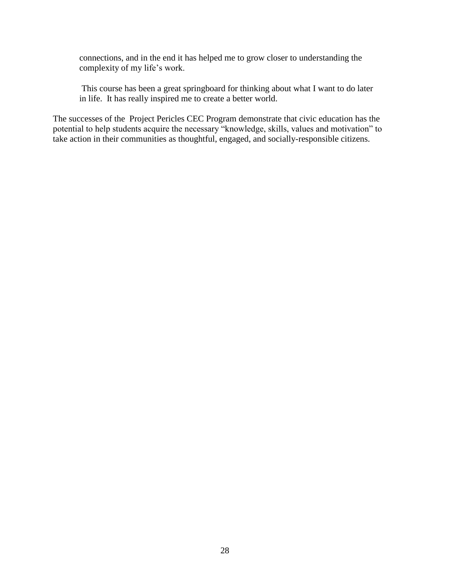connections, and in the end it has helped me to grow closer to understanding the complexity of my life's work.

This course has been a great springboard for thinking about what I want to do later in life. It has really inspired me to create a better world.

The successes of the Project Pericles CEC Program demonstrate that civic education has the potential to help students acquire the necessary "knowledge, skills, values and motivation" to take action in their communities as thoughtful, engaged, and socially-responsible citizens.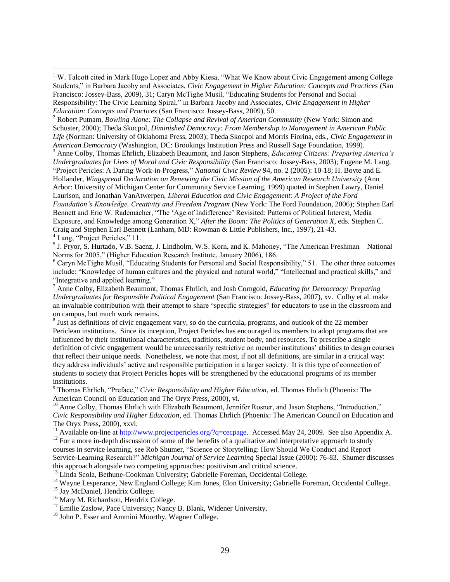<sup>2</sup> Robert Putnam, *Bowling Alone: The Collapse and Revival of American Community (New York: Simon and* Schuster, 2000); Theda Skocpol, *Diminished Democracy: From Membership to Management in American Public Life* (Norman: University of Oklahoma Press, 2003); Theda Skocpol and Morris Fiorina, eds., *Civic Engagement in American Democracy* (Washington, DC: Brookings Institution Press and Russell Sage Foundation, 1999).

<sup>3</sup> Anne Colby, Thomas Ehrlich, Elizabeth Beaumont, and Jason Stephens, *Educating Citizens: Preparing America's Undergraduates for Lives of Moral and Civic Responsibility* (San Francisco: Jossey-Bass, 2003); Eugene M. Lang, "Project Pericles: A Daring Work-in-Progress," *National Civic Review* 94, no. 2 (2005): 10-18; H. Boyte and E. Hollander, *Wingspread Declaration on Renewing the Civic Mission of the American Research University* (Ann Arbor: University of Michigan Center for Community Service Learning, 1999) quoted in Stephen Lawry, Daniel Laurison, and Jonathan VanAtwerpen, *Liberal Education and Civic Engagement: A Project of the Ford Foundation's Knowledge, Creativity and Freedom Program* (New York: The Ford Foundation, 2006); Stephen Earl Bennett and Eric W. Rademacher, "The 'Age of Indifference' Revisited: Patterns of Political Interest, Media Exposure, and Knowledge among Generation X," After the Boom: The Politics of Generation X, eds. Stephen C. Craig and Stephen Earl Bennett (Lanham, MD: Rowman & Little Publishers, Inc., 1997), 21-43.  $<sup>4</sup>$  Lang, "Project Pericles," 11.</sup>

<sup>5</sup> J. Pryor, S. Hurtado, V.B. Saenz, J. Lindholm, W.S. Korn, and K. Mahoney, "The American Freshman—National Norms for 2005," (Higher Education Research Institute, January 2006), 186.

 $6$  Caryn McTighe Musil, "Educating Students for Personal and Social Responsibility," 51. The other three outcomes include: "Knowledge of human cultures and the physical and natural world," "Intellectual and practical skills," and "Integrative and applied learning."

<sup>7</sup> Anne Colby, Elizabeth Beaumont, Thomas Ehrlich, and Josh Corngold, *Educating for Democracy: Preparing Undergraduates for Responsible Political Engagement* (San Francisco: Jossey-Bass, 2007), xv. Colby et al. make an invaluable contribution with their attempt to share "specific strategies" for educators to use in the classroom and on campus, but much work remains.

<sup>8</sup> Just as definitions of civic engagement vary, so do the curricula, programs, and outlook of the 22 member Periclean institutions. Since its inception, Project Pericles has encouraged its members to adopt programs that are influenced by their institutional characteristics, traditions, student body, and resources. To prescribe a single definition of civic engagement would be unnecessarily restrictive on member institutions' abilities to design courses that reflect their unique needs. Nonetheless, we note that most, if not all definitions, are similar in a critical way: they address individuals' active and responsible participation in a larger society. It is this type of connection of students to society that Project Pericles hopes will be strengthened by the educational programs of its member institutions.

<sup>9</sup> Thomas Ehrlich, "Preface," *Civic Responsibility and Higher Education*, ed. Thomas Ehrlich (Phoenix: The American Council on Education and The Oryx Press, 2000), vi.

 $10$  Anne Colby, Thomas Ehrlich with Elizabeth Beaumont, Jennifer Rosner, and Jason Stephens, "Introduction," *Civic Responsibility and Higher Education*, ed. Thomas Ehrlich (Phoenix: The American Council on Education and The Oryx Press, 2000), xxvi.

<sup>11</sup> Available on-line at [http://www.projectpericles.org/?q=cecpage.](http://www.projectpericles.org/?q=cecpage) Accessed May 24, 2009. See also Appendix A.  $12$  For a more in-depth discussion of some of the benefits of a qualitative and interpretative approach to study courses in service learning, see Rob Shumer, "Science or Storytelling: How Should We Conduct and Report Service-Learning Research?‖ *Michigan Journal of Service Learning* Special Issue (2000): 76-83. Shumer discusses this approach alongside two competing approaches: positivism and critical science.

<sup>13</sup> Linda Scola, Bethune-Cookman University; Gabrielle Foreman, Occidental College.

<sup>14</sup> Wavne Lesperance, New England College; Kim Jones, Elon University; Gabrielle Foreman, Occidental College.

<sup>15</sup> Jay McDaniel, Hendrix College.

 $\overline{a}$ 

<sup>16</sup> Mary M. Richardson, Hendrix College.

<sup>17</sup> Emilie Zaslow, Pace University; Nancy B. Blank, Widener University.

<sup>18</sup> John P. Esser and Ammini Moorthy, Wagner College.

 $1$  W. Talcott cited in Mark Hugo Lopez and Abby Kiesa, "What We Know about Civic Engagement among College Students," in Barbara Jacoby and Associates, *Civic Engagement in Higher Education: Concepts and Practices* (San Francisco: Jossey-Bass, 2009), 31; Caryn McTighe Musil, "Educating Students for Personal and Social Responsibility: The Civic Learning Spiral," in Barbara Jacoby and Associates, *Civic Engagement in Higher Education: Concepts and Practices* (San Francisco: Jossey-Bass, 2009), 50.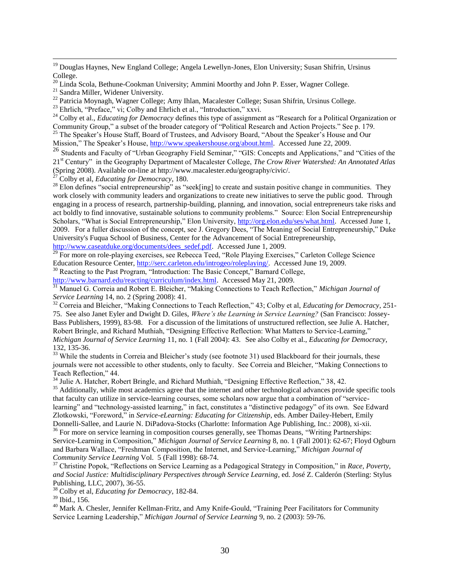<sup>19</sup> Douglas Haynes, New England College; Angela Lewellyn-Jones, Elon University; Susan Shifrin, Ursinus College.

<sup>20</sup> Linda Scola, Bethune-Cookman University; Ammini Moorthy and John P. Esser, Wagner College.

<sup>21</sup> Sandra Miller, Widener University.

 $\overline{a}$ 

<sup>22</sup> Patricia Moynagh, Wagner College; Amy Ihlan, Macalester College; Susan Shifrin, Ursinus College.

<sup>23</sup> Ehrlich, "Preface," vi; Colby and Ehrlich et al., "Introduction," xxvi.

<sup>24</sup> Colby et al., *Educating for Democracy* defines this type of assignment as "Research for a Political Organization or Community Group," a subset of the broader category of "Political Research and Action Projects." See p. 179.

<sup>25</sup> The Speaker's House Staff, Board of Trustees, and Advisory Board, "About the Speaker's House and Our Mission," The Speaker's House, [http://www.speakershouse.org/about.html.](http://www.speakershouse.org/about.html) Accessed June 22, 2009.

26 Students and Faculty of "Urban Geography Field Seminar," "GIS: Concepts and Applications," and "Cities of the 21<sup>st</sup> Century" in the Geography Department of Macalester College, *The Crow River Watershed: An Annotated Atlas* (Spring 2008). Available on-line at http://www.macalester.edu/geography/civic/.

<sup>27</sup> Colby et al, *Educating for Democracy*, 180.

<sup>28</sup> Elon defines "social entrepreneurship" as "seek[ing] to create and sustain positive change in communities. They work closely with community leaders and organizations to create new initiatives to serve the public good. Through engaging in a process of research, partnership-building, planning, and innovation, social entrepreneurs take risks and act boldly to find innovative, sustainable solutions to community problems." Source: Elon Social Entrepreneurship Scholars, "What is Social Entrepreneurship," Elon University, [http://org.elon.edu/ses/what.html.](http://org.elon.edu/ses/what.html) Accessed June 1, 2009. For a fuller discussion of the concept, see J. Gregory Dees, "The Meaning of Social Entrepreneurship," Duke University's Fuqua School of Business, Center for the Advancement of Social Entrepreneurship, [http://www.caseatduke.org/documents/dees\\_sedef.pdf.](http://www.caseatduke.org/documents/dees_sedef.pdf) Accessed June 1, 2009.

<sup>29</sup> For more on role-playing exercises, see Rebecca Teed, "Role Playing Exercises," Carleton College Science Education Resource Center, [http://serc.carleton.edu/introgeo/roleplaying/.](http://serc.carleton.edu/introgeo/roleplaying/) Accessed June 19, 2009.

<sup>30</sup> Reacting to the Past Program, "Introduction: The Basic Concept," Barnard College,

[http://www.barnard.edu/reacting/curriculum/index.html.](http://www.barnard.edu/reacting/curriculum/index.html) Accessed May 21, 2009.

<sup>31</sup> Manuel G. Correia and Robert E. Bleicher, "Making Connections to Teach Reflection," *Michigan Journal of Service Learning* 14, no. 2 (Spring 2008): 41.

<sup>32</sup> Correia and Bleicher, "Making Connections to Teach Reflection," 43; Colby et al, *Educating for Democracy*, 251-75. See also Janet Eyler and Dwight D. Giles, *Where's the Learning in Service Learning?* (San Francisco: Jossey-Bass Publishers, 1999), 83-98. For a discussion of the limitations of unstructured reflection, see Julie A. Hatcher, Robert Bringle, and Richard Muthiah, "Designing Effective Reflection: What Matters to Service-Learning," *Michigan Journal of Service Learning* 11, no. 1 (Fall 2004): 43. See also Colby et al., *Educating for Democracy*, 132, 135-36.

<sup>33</sup> While the students in Correia and Bleicher's study (see footnote 31) used Blackboard for their journals, these journals were not accessible to other students, only to faculty. See Correia and Bleicher, "Making Connections to Teach Reflection," 44.

<sup>34</sup> Julie A. Hatcher, Robert Bringle, and Richard Muthiah, "Designing Effective Reflection," 38, 42.

<sup>35</sup> Additionally, while most academics agree that the internet and other technological advances provide specific tools that faculty can utilize in service-learning courses, some scholars now argue that a combination of "servicelearning" and "technology-assisted learning," in fact, constitutes a "distinctive pedagogy" of its own. See Edward Zlotkowski, "Foreword," in *Service-eLearning: Educating for Citizenship*, eds. Amber Dailey-Hebert, Emily

Donnelli-Sallee, and Laurie N. DiPadova-Stocks (Charlotte: Information Age Publishing, Inc.: 2008), xi-xii.  $36$  For more on service learning in composition courses generally, see Thomas Deans, "Writing Partnerships: Service-Learning in Composition," Michigan Journal of Service Learning 8, no. 1 (Fall 2001): 62-67; Floyd Ogburn and Barbara Wallace, "Freshman Composition, the Internet, and Service-Learning," Michigan Journal of *Community Service Learning* Vol. 5 (Fall 1998): 68-74.

<sup>37</sup> Christine Popok, "Reflections on Service Learning as a Pedagogical Strategy in Composition," in *Race, Poverty, and Social Justice: Multidisciplinary Perspectives through Service Learning*, ed. José Z. Calderón (Sterling: Stylus Publishing, LLC, 2007), 36-55.

<sup>38</sup> Colby et al, *Educating for Democracy*, 182-84.

<sup>39</sup> Ibid., 156.

<sup>40</sup> Mark A. Chesler, Jennifer Kellman-Fritz, and Amy Knife-Gould, "Training Peer Facilitators for Community Service Learning Leadership," *Michigan Journal of Service Learning* 9, no. 2 (2003): 59-76.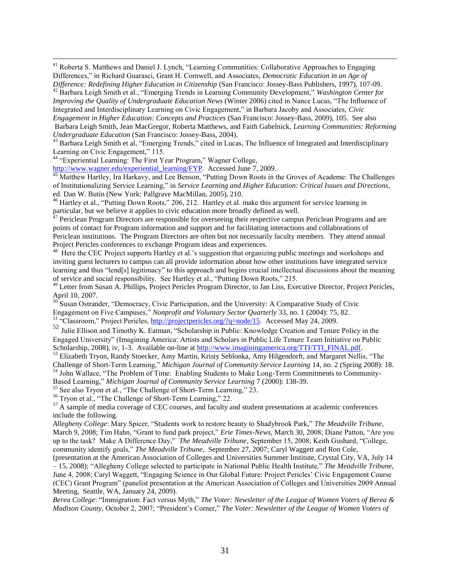<sup>41</sup> Roberta S. Matthews and Daniel J. Lynch, "Learning Communities: Collaborative Approaches to Engaging Differences,‖ in Richard Guarasci, Grant H. Cornwell, and Associates, *Democratic Education in an Age of Difference: Redefining Higher Education in Citizenship* (San Francisco: Jossey-Bass Publishers, 1997), 107-09.

<sup>42</sup> Barbara Leigh Smith et al., "Emerging Trends in Learning Community Development," *Washington Center for* 

*Improving the Quality of Undergraduate Education News* (Winter 2006) cited in Nance Lucas, "The Influence of Integrated and Interdisciplinary Learning on Civic Engagement," in Barbara Jacoby and Associates, *Civic Engagement in Higher Education: Concepts and Practices* (San Francisco: Jossey-Bass, 2009), 105. See also Barbara Leigh Smith, Jean MacGregor, Roberta Matthews, and Faith Gabelnick, *Learning Communities: Reforming* 

*Undergraduate Education* (San Francisco: Jossey-Bass, 2004).

 $\overline{a}$ 

43 Barbara Leigh Smith et al, "Emerging Trends," cited in Lucas, The Influence of Integrated and Interdisciplinary Learning on Civic Engagement," 115.

<sup>44</sup> "Experiential Learning: The First Year Program," Wagner College,

[http://www.wagner.edu/experiential\\_learning/FYP.](http://www.wagner.edu/experiential_learning/FYP) Accessed June 7, 2009.

<sup>45</sup> Matthew Hartley, Ira Harkavy, and Lee Benson, "Putting Down Roots in the Groves of Academe: The Challenges of Institutionalizing Service Learning,‖ in *Service Learning and Higher Education: Critical Issues and Directions*, ed. Dan W. Butin (New York: Pallgrave MacMillan, 2005), 210.

<sup>46</sup> Hartley et al., "Putting Down Roots," 206, 212. Hartley et al. make this argument for service learning in particular, but we believe it applies to civic education more broadly defined as well.

Periclean Program Directors are responsible for overseeing their respective campus Periclean Programs and are points of contact for Program information and support and for facilitating interactions and collaborations of Periclean institutions. The Program Directors are often but not necessarily faculty members. They attend annual Project Pericles conferences to exchange Program ideas and experiences.

<sup>48</sup> Here the CEC Project supports Hartley et al.'s suggestion that organizing public meetings and workshops and inviting guest lecturers to campus can all provide information about how other institutions have integrated service learning and thus "lend[s] legitimacy" to this approach and begins crucial intellectual discussions about the meaning of service and social responsibility. See Hartley et al., "Putting Down Roots," 215.

<sup>49</sup> Letter from Susan A. Phillips, Project Pericles Program Director, to Jan Liss, Executive Director, Project Pericles, April 10, 2007.

<sup>50</sup> Susan Ostrander, "Democracy, Civic Participation, and the University: A Comparative Study of Civic Engagement on Five Campuses," *Nonprofit and Voluntary Sector Quarterly* 33, no. 1 (2004): 75, 82.

<sup>51</sup> "Classroom," Project Pericles, [http://projectpericles.org/?q=node/15.](http://projectpericles.org/?q=node/15) Accessed May 24, 2009.

52 Julie Ellison and Timothy K. Eatman, "Scholarship in Public: Knowledge Creation and Tenure Policy in the Engaged University‖ (Imagining America: Artists and Scholars in Public Life Tenure Team Initiative on Public Scholarship, 2008), iv, 1-3.Available on-line at [http://www.imaginingamerica.org/TTI/TTI\\_FINAL.pdf.](http://www.imaginingamerica.org/TTI/TTI_FINAL.pdf)

53 Elizabeth Tryon, Randy Stoecker, Amy Martin, Kristy Seblonka, Amy Hilgendorft, and Margaret Nellis, "The Challenge of Short-Term Learning,‖ *Michigan Journal of Community Service Learning* 14, no. 2 (Spring 2008): 18.

54 John Wallace, "The Problem of Time: Enabling Students to Make Long-Term Commitments to Community-Based Learning," *Michigan Journal of Community Service Learning* 7 (2000): 138-39.

<sup>55</sup> See also Trvon et al., "The Challenge of Short-Term Learning," 23.

<sup>56</sup> Tryon et al., "The Challenge of Short-Term Learning," 22.

 $<sup>57</sup>$  A sample of media coverage of CEC courses, and faculty and student presentations at academic conferences</sup> include the following.

*Allegheny College*: Mary Spicer, ―Students work to restore beauty to Shadybrook Park,‖ *The Meadville Tribune*, March 9, 2008; Tim Hahn, "Grant to fund park project," *Erie Times-News*, March 30, 2008; Diane Patton, "Are you up to the task? Make A Difference Day," *The Meadville Tribune*, September 15, 2008; Keith Gushard, "College, community identify goals," *The Meadville Tribune*, September 27, 2007; Caryl Waggett and Ron Cole,

(presentation at the American Association of Colleges and Universities Summer Institute, Crystal City, VA, July 14 – 15, 2008); ―Allegheny College selected to participate in National Public Health Institute,‖ *The Meadville Tribune*, June 4, 2008; Caryl Waggett, "Engaging Science in Our Global Future: Project Pericles' Civic Engagement Course (CEC) Grant Program‖ (panelist presentation at the American Association of Colleges and Universities 2009 Annual Meeting, Seattle, WA, January 24, 2009).

*Berea College*: "Immigration: Fact versus Myth," The Voter: Newsletter of the League of Women Voters of Berea & *Madison County*, October 2, 2007; "President's Corner," The Voter: Newsletter of the League of Women Voters of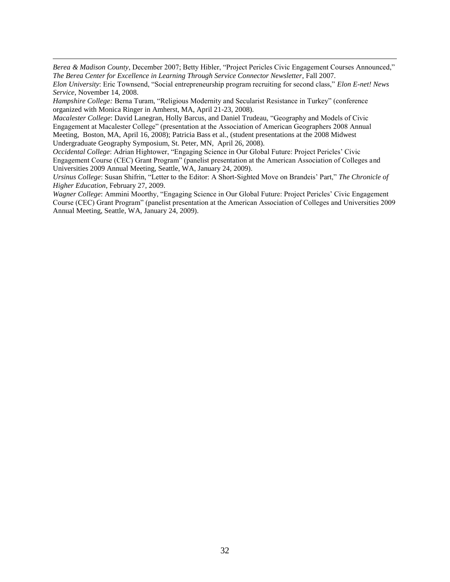*Berea & Madison County*, December 2007; Betty Hibler, "Project Pericles Civic Engagement Courses Announced," *The Berea Center for Excellence in Learning Through Service Connector Newsletter*, Fall 2007.

*Elon University*: Eric Townsend, "Social entrepreneurship program recruiting for second class," *Elon E-net! News Service*, November 14, 2008.

*Hampshire College: Berna Turam, "Religious Modernity and Secularist Resistance in Turkey" (conference* organized with Monica Ringer in Amherst, MA, April 21-23, 2008).

 $\overline{a}$ 

*Macalester College: David Lanegran, Holly Barcus, and Daniel Trudeau, "Geography and Models of Civic* Engagement at Macalester College‖ (presentation at the Association of American Geographers 2008 Annual Meeting, Boston, MA, April 16, 2008); Patricia Bass et al., (student presentations at the 2008 Midwest Undergraduate Geography Symposium, St. Peter, MN, April 26, 2008).

*Occidental College*: Adrian Hightower, "Engaging Science in Our Global Future: Project Pericles' Civic Engagement Course (CEC) Grant Program" (panelist presentation at the American Association of Colleges and Universities 2009 Annual Meeting, Seattle, WA, January 24, 2009).

*Ursinus College*: Susan Shifrin, "Letter to the Editor: A Short-Sighted Move on Brandeis' Part," The Chronicle of *Higher Education*, February 27, 2009.

Wagner College: Ammini Moorthy, "Engaging Science in Our Global Future: Project Pericles' Civic Engagement Course (CEC) Grant Program" (panelist presentation at the American Association of Colleges and Universities 2009 Annual Meeting, Seattle, WA, January 24, 2009).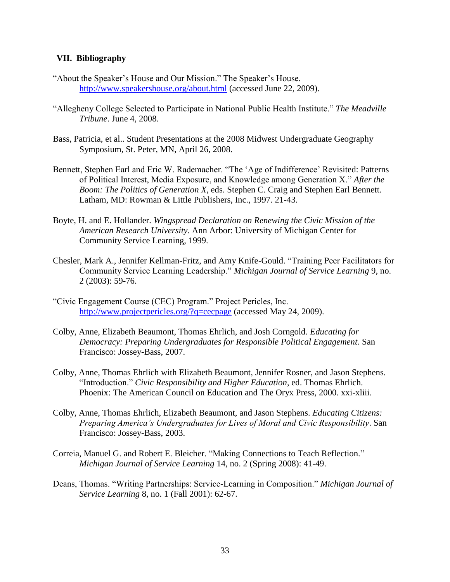## **VII. Bibliography**

- "About the Speaker's House and Our Mission." The Speaker's House. <http://www.speakershouse.org/about.html> (accessed June 22, 2009).
- ―Allegheny College Selected to Participate in National Public Health Institute.‖ *The Meadville Tribune*. June 4, 2008.
- Bass, Patricia, et al.. Student Presentations at the 2008 Midwest Undergraduate Geography Symposium, St. Peter, MN, April 26, 2008.
- Bennett, Stephen Earl and Eric W. Rademacher. "The 'Age of Indifference' Revisited: Patterns of Political Interest, Media Exposure, and Knowledge among Generation X." After the *Boom: The Politics of Generation X*, eds. Stephen C. Craig and Stephen Earl Bennett. Latham, MD: Rowman & Little Publishers, Inc., 1997. 21-43.
- Boyte, H. and E. Hollander. *Wingspread Declaration on Renewing the Civic Mission of the American Research University*. Ann Arbor: University of Michigan Center for Community Service Learning, 1999.
- Chesler, Mark A., Jennifer Kellman-Fritz, and Amy Knife-Gould. "Training Peer Facilitators for Community Service Learning Leadership.‖ *Michigan Journal of Service Learning* 9, no. 2 (2003): 59-76.
- ―Civic Engagement Course (CEC) Program.‖ Project Pericles, Inc. <http://www.projectpericles.org/?q=cecpage> (accessed May 24, 2009).
- Colby, Anne, Elizabeth Beaumont, Thomas Ehrlich, and Josh Corngold. *Educating for Democracy: Preparing Undergraduates for Responsible Political Engagement*. San Francisco: Jossey-Bass, 2007.
- Colby, Anne, Thomas Ehrlich with Elizabeth Beaumont, Jennifer Rosner, and Jason Stephens. ―Introduction.‖ *Civic Responsibility and Higher Education*, ed. Thomas Ehrlich. Phoenix: The American Council on Education and The Oryx Press, 2000. xxi-xliii.
- Colby, Anne, Thomas Ehrlich, Elizabeth Beaumont, and Jason Stephens. *Educating Citizens: Preparing America's Undergraduates for Lives of Moral and Civic Responsibility*. San Francisco: Jossey-Bass, 2003.
- Correia, Manuel G. and Robert E. Bleicher. "Making Connections to Teach Reflection." *Michigan Journal of Service Learning* 14, no. 2 (Spring 2008): 41-49.
- Deans, Thomas. "Writing Partnerships: Service-Learning in Composition." *Michigan Journal of Service Learning* 8, no. 1 (Fall 2001): 62-67.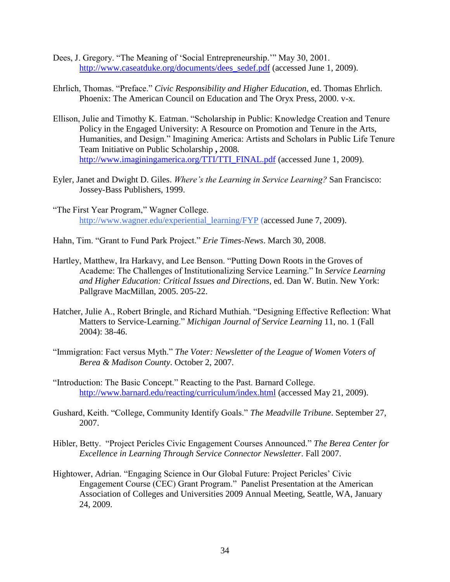- Dees, J. Gregory. "The Meaning of 'Social Entrepreneurship." May 30, 2001. [http://www.caseatduke.org/documents/dees\\_sedef.pdf](http://www.caseatduke.org/documents/dees_sedef.pdf) (accessed June 1, 2009).
- Ehrlich, Thomas. "Preface." *Civic Responsibility and Higher Education*, ed. Thomas Ehrlich. Phoenix: The American Council on Education and The Oryx Press, 2000. v-x.
- Ellison, Julie and Timothy K. Eatman. "Scholarship in Public: Knowledge Creation and Tenure Policy in the Engaged University: A Resource on Promotion and Tenure in the Arts, Humanities, and Design." Imagining America: Artists and Scholars in Public Life Tenure Team Initiative on Public Scholarship **,** 2008. [http://www.imaginingamerica.org/TTI/TTI\\_FINAL.pdf](http://www.imaginingamerica.org/TTI/TTI_FINAL.pdf) (accessed June 1, 2009).
- Eyler, Janet and Dwight D. Giles. *Where's the Learning in Service Learning?* San Francisco: Jossey-Bass Publishers, 1999.
- "The First Year Program," Wagner College. [http://www.wagner.edu/experiential\\_learning/FYP](http://www.wagner.edu/experiential_learning/FYP) (accessed June 7, 2009).
- Hahn, Tim. "Grant to Fund Park Project." *Erie Times-News*. March 30, 2008.
- Hartley, Matthew, Ira Harkavy, and Lee Benson. "Putting Down Roots in the Groves of Academe: The Challenges of Institutionalizing Service Learning." In *Service Learning and Higher Education: Critical Issues and Directions*, ed. Dan W. Butin. New York: Pallgrave MacMillan, 2005. 205-22.
- Hatcher, Julie A., Robert Bringle, and Richard Muthiah. "Designing Effective Reflection: What Matters to Service-Learning." *Michigan Journal of Service Learning* 11, no. 1 (Fall 2004): 38-46.
- ―Immigration: Fact versus Myth.‖ *The Voter: Newsletter of the League of Women Voters of Berea & Madison County*. October 2, 2007.
- "Introduction: The Basic Concept." Reacting to the Past. Barnard College. <http://www.barnard.edu/reacting/curriculum/index.html> (accessed May 21, 2009).
- Gushard, Keith. "College, Community Identify Goals." The Meadville Tribune. September 27, 2007.
- Hibler, Betty. "Project Pericles Civic Engagement Courses Announced." *The Berea Center for Excellence in Learning Through Service Connector Newsletter*. Fall 2007.
- Hightower, Adrian. "Engaging Science in Our Global Future: Project Pericles' Civic Engagement Course (CEC) Grant Program." Panelist Presentation at the American Association of Colleges and Universities 2009 Annual Meeting, Seattle, WA, January 24, 2009.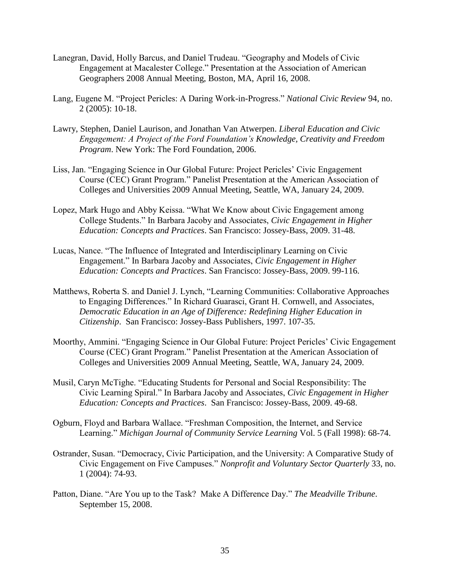- Lanegran, David, Holly Barcus, and Daniel Trudeau. "Geography and Models of Civic Engagement at Macalester College." Presentation at the Association of American Geographers 2008 Annual Meeting, Boston, MA, April 16, 2008.
- Lang, Eugene M. "Project Pericles: A Daring Work-in-Progress." *National Civic Review* 94, no. 2 (2005): 10-18.
- Lawry, Stephen, Daniel Laurison, and Jonathan Van Atwerpen. *Liberal Education and Civic Engagement: A Project of the Ford Foundation's Knowledge, Creativity and Freedom Program*. New York: The Ford Foundation, 2006.
- Liss, Jan. "Engaging Science in Our Global Future: Project Pericles' Civic Engagement Course (CEC) Grant Program." Panelist Presentation at the American Association of Colleges and Universities 2009 Annual Meeting, Seattle, WA, January 24, 2009.
- Lopez, Mark Hugo and Abby Keissa. "What We Know about Civic Engagement among College Students.‖ In Barbara Jacoby and Associates, *Civic Engagement in Higher Education: Concepts and Practices*. San Francisco: Jossey-Bass, 2009. 31-48.
- Lucas, Nance. "The Influence of Integrated and Interdisciplinary Learning on Civic Engagement.‖ In Barbara Jacoby and Associates, *Civic Engagement in Higher Education: Concepts and Practices*. San Francisco: Jossey-Bass, 2009. 99-116.
- Matthews, Roberta S. and Daniel J. Lynch, "Learning Communities: Collaborative Approaches to Engaging Differences." In Richard Guarasci, Grant H. Cornwell, and Associates, *Democratic Education in an Age of Difference: Redefining Higher Education in Citizenship*. San Francisco: Jossey-Bass Publishers, 1997. 107-35.
- Moorthy, Ammini. "Engaging Science in Our Global Future: Project Pericles' Civic Engagement Course (CEC) Grant Program." Panelist Presentation at the American Association of Colleges and Universities 2009 Annual Meeting, Seattle, WA, January 24, 2009.
- Musil, Caryn McTighe. "Educating Students for Personal and Social Responsibility: The Civic Learning Spiral.‖ In Barbara Jacoby and Associates, *Civic Engagement in Higher Education: Concepts and Practices*. San Francisco: Jossey-Bass, 2009. 49-68.
- Ogburn, Floyd and Barbara Wallace. "Freshman Composition, the Internet, and Service Learning.‖ *Michigan Journal of Community Service Learning* Vol. 5 (Fall 1998): 68-74.
- Ostrander, Susan. "Democracy, Civic Participation, and the University: A Comparative Study of Civic Engagement on Five Campuses.‖ *Nonprofit and Voluntary Sector Quarterly* 33, no. 1 (2004): 74-93.
- Patton, Diane. "Are You up to the Task? Make A Difference Day." The Meadville Tribune. September 15, 2008.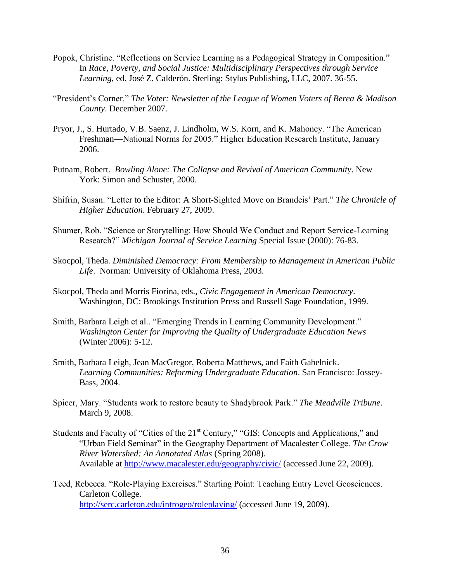- Popok, Christine. "Reflections on Service Learning as a Pedagogical Strategy in Composition." In *Race, Poverty, and Social Justice: Multidisciplinary Perspectives through Service Learning*, ed. José Z. Calderón. Sterling: Stylus Publishing, LLC, 2007. 36-55.
- ―President's Corner.‖ *The Voter: Newsletter of the League of Women Voters of Berea & Madison County*. December 2007.
- Pryor, J., S. Hurtado, V.B. Saenz, J. Lindholm, W.S. Korn, and K. Mahoney. "The American Freshman—National Norms for 2005." Higher Education Research Institute, January 2006.
- Putnam, Robert. *Bowling Alone: The Collapse and Revival of American Community*. New York: Simon and Schuster, 2000.
- Shifrin, Susan. "Letter to the Editor: A Short-Sighted Move on Brandeis' Part." The Chronicle of *Higher Education*. February 27, 2009.
- Shumer, Rob. "Science or Storytelling: How Should We Conduct and Report Service-Learning Research?‖ *Michigan Journal of Service Learning* Special Issue (2000): 76-83.
- Skocpol, Theda. *Diminished Democracy: From Membership to Management in American Public Life*. Norman: University of Oklahoma Press, 2003.
- Skocpol, Theda and Morris Fiorina, eds., *Civic Engagement in American Democracy*. Washington, DC: Brookings Institution Press and Russell Sage Foundation, 1999.
- Smith, Barbara Leigh et al.. "Emerging Trends in Learning Community Development." *Washington Center for Improving the Quality of Undergraduate Education News*  (Winter 2006): 5-12.
- Smith, Barbara Leigh, Jean MacGregor, Roberta Matthews, and Faith Gabelnick. *Learning Communities: Reforming Undergraduate Education*. San Francisco: Jossey-Bass, 2004.
- Spicer, Mary. "Students work to restore beauty to Shadybrook Park." The Meadville Tribune. March 9, 2008.
- Students and Faculty of "Cities of the  $21<sup>st</sup>$  Century," "GIS: Concepts and Applications," and ―Urban Field Seminar‖ in the Geography Department of Macalester College. *The Crow River Watershed: An Annotated Atlas* (Spring 2008). Available at<http://www.macalester.edu/geography/civic/> (accessed June 22, 2009).
- Teed, Rebecca. "Role-Playing Exercises." Starting Point: Teaching Entry Level Geosciences. Carleton College. <http://serc.carleton.edu/introgeo/roleplaying/> (accessed June 19, 2009).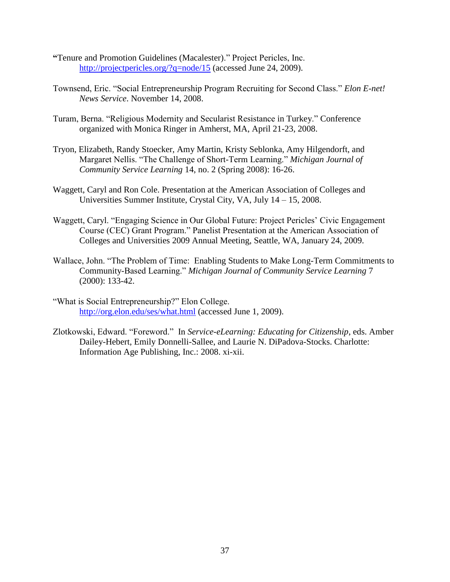- **"**Tenure and Promotion Guidelines (Macalester).‖ Project Pericles, Inc. <http://projectpericles.org/?q=node/15> (accessed June 24, 2009).
- Townsend, Eric. "Social Entrepreneurship Program Recruiting for Second Class." *Elon E-net! News Service*. November 14, 2008.
- Turam, Berna. "Religious Modernity and Secularist Resistance in Turkey." Conference organized with Monica Ringer in Amherst, MA, April 21-23, 2008.
- Tryon, Elizabeth, Randy Stoecker, Amy Martin, Kristy Seblonka, Amy Hilgendorft, and Margaret Nellis. "The Challenge of Short-Term Learning." *Michigan Journal of Community Service Learning* 14, no. 2 (Spring 2008): 16-26.
- Waggett, Caryl and Ron Cole. Presentation at the American Association of Colleges and Universities Summer Institute, Crystal City, VA, July 14 – 15, 2008.
- Waggett, Caryl. "Engaging Science in Our Global Future: Project Pericles' Civic Engagement Course (CEC) Grant Program." Panelist Presentation at the American Association of Colleges and Universities 2009 Annual Meeting, Seattle, WA, January 24, 2009.
- Wallace, John. "The Problem of Time: Enabling Students to Make Long-Term Commitments to Community-Based Learning.‖ *Michigan Journal of Community Service Learning* 7 (2000): 133-42.
- "What is Social Entrepreneurship?" Elon College. <http://org.elon.edu/ses/what.html> (accessed June 1, 2009).
- Zlotkowski, Edward. "Foreword." In *Service-eLearning: Educating for Citizenship*, eds. Amber Dailey-Hebert, Emily Donnelli-Sallee, and Laurie N. DiPadova-Stocks. Charlotte: Information Age Publishing, Inc.: 2008. xi-xii.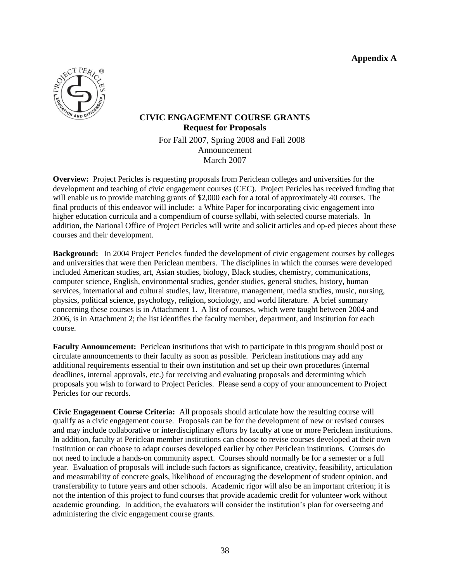**Appendix A**



# **CIVIC ENGAGEMENT COURSE GRANTS Request for Proposals** For Fall 2007, Spring 2008 and Fall 2008 Announcement March 2007

**Overview:** Project Pericles is requesting proposals from Periclean colleges and universities for the development and teaching of civic engagement courses (CEC). Project Pericles has received funding that will enable us to provide matching grants of \$2,000 each for a total of approximately 40 courses. The final products of this endeavor will include: a White Paper for incorporating civic engagement into higher education curricula and a compendium of course syllabi, with selected course materials. In addition, the National Office of Project Pericles will write and solicit articles and op-ed pieces about these courses and their development.

**Background:** In 2004 Project Pericles funded the development of civic engagement courses by colleges and universities that were then Periclean members. The disciplines in which the courses were developed included American studies, art, Asian studies, biology, Black studies, chemistry, communications, computer science, English, environmental studies, gender studies, general studies, history, human services, international and cultural studies, law, literature, management, media studies, music, nursing, physics, political science, psychology, religion, sociology, and world literature. A brief summary concerning these courses is in Attachment 1. A list of courses, which were taught between 2004 and 2006, is in Attachment 2; the list identifies the faculty member, department, and institution for each course.

**Faculty Announcement:** Periclean institutions that wish to participate in this program should post or circulate announcements to their faculty as soon as possible. Periclean institutions may add any additional requirements essential to their own institution and set up their own procedures (internal deadlines, internal approvals, etc.) for receiving and evaluating proposals and determining which proposals you wish to forward to Project Pericles. Please send a copy of your announcement to Project Pericles for our records.

**Civic Engagement Course Criteria:** All proposals should articulate how the resulting course will qualify as a civic engagement course. Proposals can be for the development of new or revised courses and may include collaborative or interdisciplinary efforts by faculty at one or more Periclean institutions. In addition, faculty at Periclean member institutions can choose to revise courses developed at their own institution or can choose to adapt courses developed earlier by other Periclean institutions. Courses do not need to include a hands-on community aspect. Courses should normally be for a semester or a full year. Evaluation of proposals will include such factors as significance, creativity, feasibility, articulation and measurability of concrete goals, likelihood of encouraging the development of student opinion, and transferability to future years and other schools. Academic rigor will also be an important criterion; it is not the intention of this project to fund courses that provide academic credit for volunteer work without academic grounding. In addition, the evaluators will consider the institution's plan for overseeing and administering the civic engagement course grants.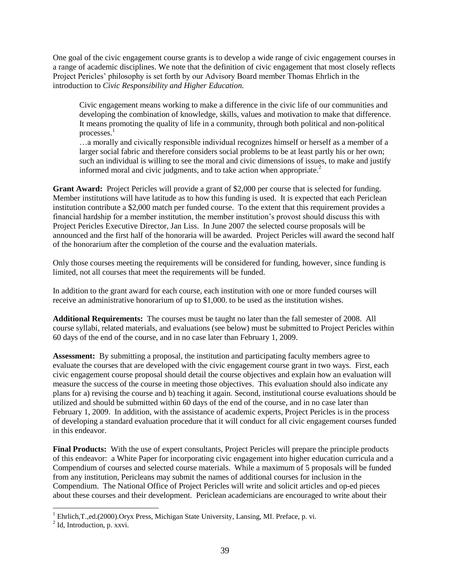One goal of the civic engagement course grants is to develop a wide range of civic engagement courses in a range of academic disciplines. We note that the definition of civic engagement that most closely reflects Project Pericles' philosophy is set forth by our Advisory Board member Thomas Ehrlich in the introduction to *Civic Responsibility and Higher Education.*

Civic engagement means working to make a difference in the civic life of our communities and developing the combination of knowledge, skills, values and motivation to make that difference. It means promoting the quality of life in a community, through both political and non-political processes. $<sup>1</sup>$ </sup>

…a morally and civically responsible individual recognizes himself or herself as a member of a larger social fabric and therefore considers social problems to be at least partly his or her own; such an individual is willing to see the moral and civic dimensions of issues, to make and justify informed moral and civic judgments, and to take action when appropriate.<sup>2</sup>

**Grant Award:** Project Pericles will provide a grant of \$2,000 per course that is selected for funding. Member institutions will have latitude as to how this funding is used. It is expected that each Periclean institution contribute a \$2,000 match per funded course. To the extent that this requirement provides a financial hardship for a member institution, the member institution's provost should discuss this with Project Pericles Executive Director, Jan Liss. In June 2007 the selected course proposals will be announced and the first half of the honoraria will be awarded. Project Pericles will award the second half of the honorarium after the completion of the course and the evaluation materials.

Only those courses meeting the requirements will be considered for funding, however, since funding is limited, not all courses that meet the requirements will be funded.

In addition to the grant award for each course, each institution with one or more funded courses will receive an administrative honorarium of up to \$1,000. to be used as the institution wishes.

**Additional Requirements:** The courses must be taught no later than the fall semester of 2008. All course syllabi, related materials, and evaluations (see below) must be submitted to Project Pericles within 60 days of the end of the course, and in no case later than February 1, 2009.

**Assessment:** By submitting a proposal, the institution and participating faculty members agree to evaluate the courses that are developed with the civic engagement course grant in two ways. First, each civic engagement course proposal should detail the course objectives and explain how an evaluation will measure the success of the course in meeting those objectives. This evaluation should also indicate any plans for a) revising the course and b) teaching it again. Second, institutional course evaluations should be utilized and should be submitted within 60 days of the end of the course, and in no case later than February 1, 2009. In addition, with the assistance of academic experts, Project Pericles is in the process of developing a standard evaluation procedure that it will conduct for all civic engagement courses funded in this endeavor.

**Final Products:** With the use of expert consultants, Project Pericles will prepare the principle products of this endeavor: a White Paper for incorporating civic engagement into higher education curricula and a Compendium of courses and selected course materials. While a maximum of 5 proposals will be funded from any institution, Pericleans may submit the names of additional courses for inclusion in the Compendium. The National Office of Project Pericles will write and solicit articles and op-ed pieces about these courses and their development. Periclean academicians are encouraged to write about their

 $\overline{a}$ 

 $1$  Ehrlich, T., ed. (2000). Or yx Press, Michigan State University, Lansing, MI. Preface, p. vi.

 $^{2}$  Id, Introduction, p. xxvi.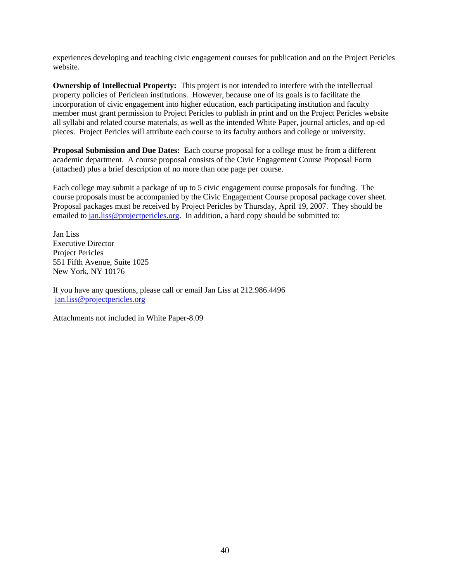experiences developing and teaching civic engagement courses for publication and on the Project Pericles website.

**Ownership of Intellectual Property:** This project is not intended to interfere with the intellectual property policies of Periclean institutions. However, because one of its goals is to facilitate the incorporation of civic engagement into higher education, each participating institution and faculty member must grant permission to Project Pericles to publish in print and on the Project Pericles website all syllabi and related course materials, as well as the intended White Paper, journal articles, and op-ed pieces. Project Pericles will attribute each course to its faculty authors and college or university.

**Proposal Submission and Due Dates:** Each course proposal for a college must be from a different academic department. A course proposal consists of the Civic Engagement Course Proposal Form (attached) plus a brief description of no more than one page per course.

Each college may submit a package of up to 5 civic engagement course proposals for funding. The course proposals must be accompanied by the Civic Engagement Course proposal package cover sheet. Proposal packages must be received by Project Pericles by Thursday, April 19, 2007. They should be emailed to [jan.liss@projectpericles.org.](mailto:jan.liss@projectpericles.org) In addition, a hard copy should be submitted to:

Jan Liss Executive Director Project Pericles 551 Fifth Avenue, Suite 1025 New York, NY 10176

If you have any questions, please call or email Jan Liss at 212.986.4496 [jan.liss@projectpericles.org](mailto:jan.liss@projectpericles.org) 

Attachments not included in White Paper-8.09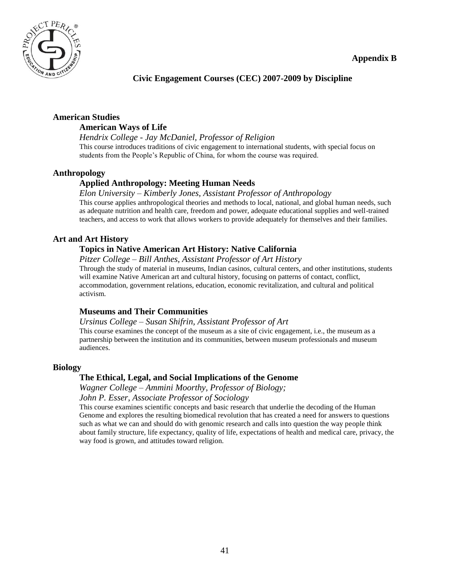

**Civic Engagement Courses (CEC) 2007-2009 by Discipline**

# **American Studies**

# **American Ways of Life**

*Hendrix College - Jay McDaniel, Professor of Religion* This course introduces traditions of civic engagement to international students, with special focus on students from the People's Republic of China, for whom the course was required.

# **Anthropology**

# **Applied Anthropology: Meeting Human Needs**

## *Elon University – Kimberly Jones, Assistant Professor of Anthropology*

This course applies anthropological theories and methods to local, national, and global human needs, such as adequate nutrition and health care, freedom and power, adequate educational supplies and well-trained teachers, and access to work that allows workers to provide adequately for themselves and their families.

# **Art and Art History**

# **Topics in Native American Art History: Native California**

## *Pitzer College – Bill Anthes, Assistant Professor of Art History*

Through the study of material in museums, Indian casinos, cultural centers, and other institutions, students will examine Native American art and cultural history, focusing on patterns of contact, conflict, accommodation, government relations, education, economic revitalization, and cultural and political activism.

## **Museums and Their Communities**

## *Ursinus College – Susan Shifrin, Assistant Professor of Art*

This course examines the concept of the museum as a site of civic engagement, i.e., the museum as a partnership between the institution and its communities, between museum professionals and museum audiences.

# **Biology**

## **The Ethical, Legal, and Social Implications of the Genome**

*Wagner College – Ammini Moorthy, Professor of Biology;* 

*John P. Esser, Associate Professor of Sociology*

This course examines scientific concepts and basic research that underlie the decoding of the Human Genome and explores the resulting biomedical revolution that has created a need for answers to questions such as what we can and should do with genomic research and calls into question the way people think about family structure, life expectancy, quality of life, expectations of health and medical care, privacy, the way food is grown, and attitudes toward religion.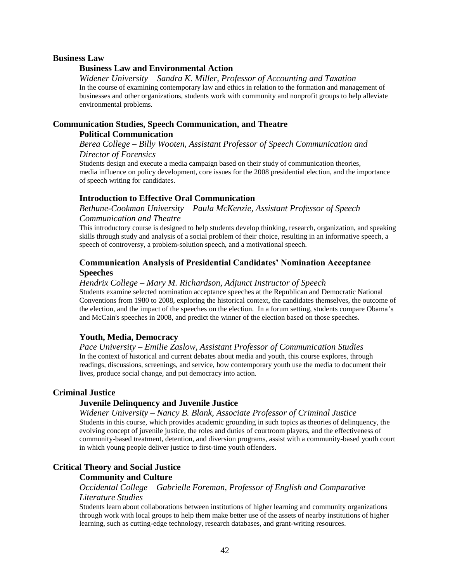#### **Business Law**

## **Business Law and Environmental Action**

*Widener University – Sandra K. Miller, Professor of Accounting and Taxation* In the course of examining contemporary law and ethics in relation to the formation and management of businesses and other organizations, students work with community and nonprofit groups to help alleviate environmental problems.

# **Communication Studies, Speech Communication, and Theatre**

## **Political Communication**

*Berea College – Billy Wooten, Assistant Professor of Speech Communication and Director of Forensics*

Students design and execute a media campaign based on their study of communication theories, media influence on policy development, core issues for the 2008 presidential election, and the importance of speech writing for candidates.

## **Introduction to Effective Oral Communication**

*Bethune-Cookman University – Paula McKenzie, Assistant Professor of Speech* 

## *Communication and Theatre*

This introductory course is designed to help students develop thinking, research, organization, and speaking skills through study and analysis of a social problem of their choice, resulting in an informative speech, a speech of controversy, a problem-solution speech, and a motivational speech.

## **Communication Analysis of Presidential Candidates' Nomination Acceptance Speeches**

#### *Hendrix College – Mary M. Richardson, Adjunct Instructor of Speech*

Students examine selected nomination acceptance speeches at the Republican and Democratic National Conventions from 1980 to 2008, exploring the historical context, the candidates themselves, the outcome of the election, and the impact of the speeches on the election. In a forum setting, students compare Obama's and McCain's speeches in 2008, and predict the winner of the election based on those speeches.

## **Youth, Media, Democracy**

*Pace University – Emilie Zaslow, Assistant Professor of Communication Studies* In the context of historical and current debates about media and youth, this course explores, through readings, discussions, screenings, and service, how contemporary youth use the media to document their lives, produce social change, and put democracy into action.

## **Criminal Justice**

## **Juvenile Delinquency and Juvenile Justice**

*Widener University – Nancy B. Blank, Associate Professor of Criminal Justice* Students in this course, which provides academic grounding in such topics as theories of delinquency, the evolving concept of juvenile justice, the roles and duties of courtroom players, and the effectiveness of community-based treatment, detention, and diversion programs, assist with a community-based youth court in which young people deliver justice to first-time youth offenders.

## **Critical Theory and Social Justice**

## **Community and Culture**

## *Occidental College – Gabrielle Foreman, Professor of English and Comparative Literature Studies*

Students learn about collaborations between institutions of higher learning and community organizations through work with local groups to help them make better use of the assets of nearby institutions of higher learning, such as cutting-edge technology, research databases, and grant-writing resources.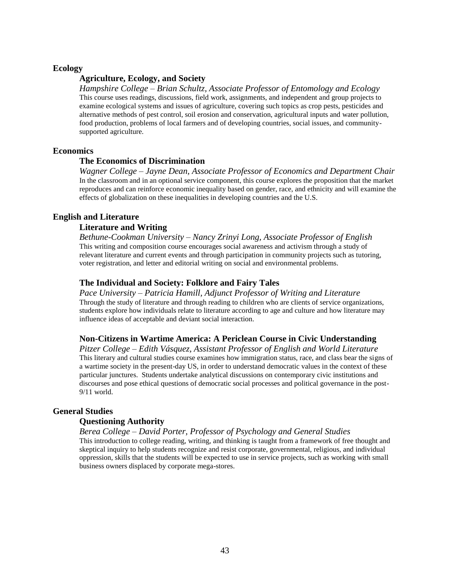#### **Ecology**

## **Agriculture, Ecology, and Society**

*Hampshire College – Brian Schultz, Associate Professor of Entomology and Ecology* This course uses readings, discussions, field work, assignments, and independent and group projects to examine ecological systems and issues of agriculture, covering such topics as crop pests, pesticides and alternative methods of pest control, soil erosion and conservation, agricultural inputs and water pollution, food production, problems of local farmers and of developing countries, social issues, and communitysupported agriculture.

#### **Economics**

#### **The Economics of Discrimination**

*Wagner College – Jayne Dean, Associate Professor of Economics and Department Chair* In the classroom and in an optional service component, this course explores the proposition that the market reproduces and can reinforce economic inequality based on gender, race, and ethnicity and will examine the effects of globalization on these inequalities in developing countries and the U.S.

#### **English and Literature**

#### **Literature and Writing**

*Bethune-Cookman University – Nancy Zrinyi Long, Associate Professor of English* This writing and composition course encourages social awareness and activism through a study of relevant literature and current events and through participation in community projects such as tutoring, voter registration, and letter and editorial writing on social and environmental problems.

#### **The Individual and Society: Folklore and Fairy Tales**

*Pace University – Patricia Hamill, Adjunct Professor of Writing and Literature* Through the study of literature and through reading to children who are clients of service organizations, students explore how individuals relate to literature according to age and culture and how literature may influence ideas of acceptable and deviant social interaction.

### **Non-Citizens in Wartime America: A Periclean Course in Civic Understanding**

*Pitzer College – Edith Vásquez, Assistant Professor of English and World Literature* This literary and cultural studies course examines how immigration status, race, and class bear the signs of a wartime society in the present-day US, in order to understand democratic values in the context of these particular junctures. Students undertake analytical discussions on contemporary civic institutions and discourses and pose ethical questions of democratic social processes and political governance in the post-9/11 world.

#### **General Studies**

### **Questioning Authority**

*Berea College – David Porter, Professor of Psychology and General Studies* This introduction to college reading, writing, and thinking is taught from a framework of free thought and skeptical inquiry to help students recognize and resist corporate, governmental, religious, and individual oppression, skills that the students will be expected to use in service projects, such as working with small business owners displaced by corporate mega-stores.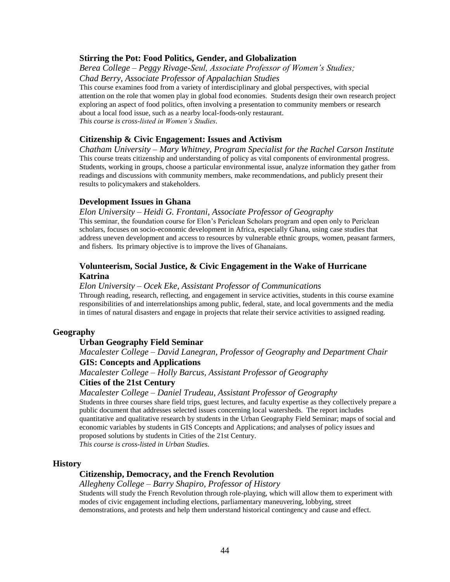## **Stirring the Pot: Food Politics, Gender, and Globalization**

*Berea College – Peggy Rivage-Seul, Associate Professor of Women's Studies; Chad Berry, Associate Professor of Appalachian Studies*

This course examines food from a variety of interdisciplinary and global perspectives, with special attention on the role that women play in global food economies. Students design their own research project exploring an aspect of food politics, often involving a presentation to community members or research about a local food issue, such as a nearby local-foods-only restaurant. *This course is cross-listed in Women's Studies.*

## **Citizenship & Civic Engagement: Issues and Activism**

*Chatham University – Mary Whitney, Program Specialist for the Rachel Carson Institute* This course treats citizenship and understanding of policy as vital components of environmental progress. Students, working in groups, choose a particular environmental issue, analyze information they gather from readings and discussions with community members, make recommendations, and publicly present their results to policymakers and stakeholders.

## **Development Issues in Ghana**

#### *Elon University – Heidi G. Frontani, Associate Professor of Geography*

This seminar, the foundation course for Elon's Periclean Scholars program and open only to Periclean scholars, focuses on socio-economic development in Africa, especially Ghana, using case studies that address uneven development and access to resources by vulnerable ethnic groups, women, peasant farmers, and fishers. Its primary objective is to improve the lives of Ghanaians.

## **Volunteerism, Social Justice, & Civic Engagement in the Wake of Hurricane Katrina**

#### *Elon University – Ocek Eke, Assistant Professor of Communications*

Through reading, research, reflecting, and engagement in service activities, students in this course examine responsibilities of and interrelationships among public, federal, state, and local governments and the media in times of natural disasters and engage in projects that relate their service activities to assigned reading.

## **Geography**

## **Urban Geography Field Seminar**

# *Macalester College – David Lanegran, Professor of Geography and Department Chair*

## **GIS: Concepts and Applications**

*Macalester College – Holly Barcus, Assistant Professor of Geography*

#### **Cities of the 21st Century**

#### *Macalester College – Daniel Trudeau, Assistant Professor of Geography*

Students in three courses share field trips, guest lectures, and faculty expertise as they collectively prepare a public document that addresses selected issues concerning local watersheds. The report includes quantitative and qualitative research by students in the Urban Geography Field Seminar; maps of social and economic variables by students in GIS Concepts and Applications; and analyses of policy issues and proposed solutions by students in Cities of the 21st Century.

*This course is cross-listed in Urban Studies.*

#### **History**

## **Citizenship, Democracy, and the French Revolution**

*Allegheny College – Barry Shapiro, Professor of History*

Students will study the French Revolution through role-playing, which will allow them to experiment with modes of civic engagement including elections, parliamentary maneuvering, lobbying, street demonstrations, and protests and help them understand historical contingency and cause and effect.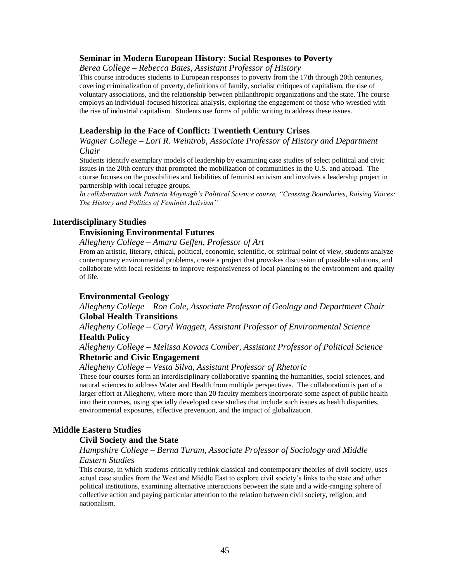#### **Seminar in Modern European History: Social Responses to Poverty**

*Berea College – Rebecca Bates, Assistant Professor of History*

This course introduces students to European responses to poverty from the 17th through 20th centuries, covering criminalization of poverty, definitions of family, socialist critiques of capitalism, the rise of voluntary associations, and the relationship between philanthropic organizations and the state. The course employs an individual-focused historical analysis, exploring the engagement of those who wrestled with the rise of industrial capitalism. Students use forms of public writing to address these issues.

#### **Leadership in the Face of Conflict: Twentieth Century Crises**

*Wagner College – Lori R. Weintrob, Associate Professor of History and Department Chair*

Students identify exemplary models of leadership by examining case studies of select political and civic issues in the 20th century that prompted the mobilization of communities in the U.S. and abroad. The course focuses on the possibilities and liabilities of feminist activism and involves a leadership project in partnership with local refugee groups.

*In collaboration with Patricia Moynagh's Political Science course, "Crossing Boundaries, Raising Voices: The History and Politics of Feminist Activism"*

#### **Interdisciplinary Studies**

#### **Envisioning Environmental Futures**

*Allegheny College – Amara Geffen, Professor of Art*

From an artistic, literary, ethical, political, economic, scientific, or spiritual point of view, students analyze contemporary environmental problems, create a project that provokes discussion of possible solutions, and collaborate with local residents to improve responsiveness of local planning to the environment and quality of life.

#### **Environmental Geology**

*Allegheny College – Ron Cole, Associate Professor of Geology and Department Chair* **Global Health Transitions**

*Allegheny College – Caryl Waggett, Assistant Professor of Environmental Science* **Health Policy**

## *Allegheny College – Melissa Kovacs Comber, Assistant Professor of Political Science* **Rhetoric and Civic Engagement**

#### *Allegheny College – Vesta Silva, Assistant Professor of Rhetoric*

These four courses form an interdisciplinary collaborative spanning the humanities, social sciences, and natural sciences to address Water and Health from multiple perspectives. The collaboration is part of a larger effort at Allegheny, where more than 20 faculty members incorporate some aspect of public health into their courses, using specially developed case studies that include such issues as health disparities, environmental exposures, effective prevention, and the impact of globalization.

#### **Middle Eastern Studies**

#### **Civil Society and the State**

## *Hampshire College – Berna Turam, Associate Professor of Sociology and Middle Eastern Studies*

This course, in which students critically rethink classical and contemporary theories of civil society, uses actual case studies from the West and Middle East to explore civil society's links to the state and other political institutions, examining alternative interactions between the state and a wide-ranging sphere of collective action and paying particular attention to the relation between civil society, religion, and nationalism.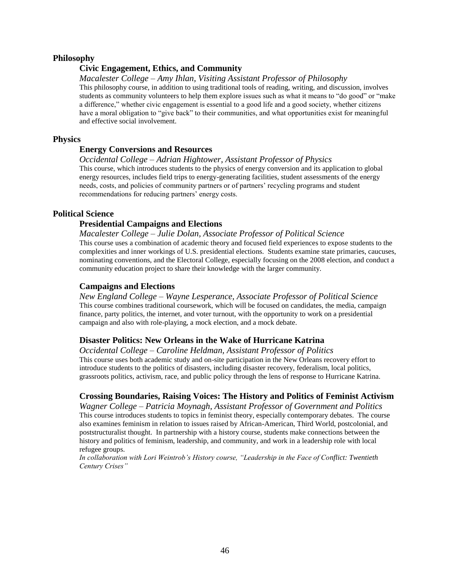#### **Philosophy**

## **Civic Engagement, Ethics, and Community**

#### *Macalester College – Amy Ihlan, Visiting Assistant Professor of Philosophy*

This philosophy course, in addition to using traditional tools of reading, writing, and discussion, involves students as community volunteers to help them explore issues such as what it means to "do good" or "make a difference," whether civic engagement is essential to a good life and a good society, whether citizens have a moral obligation to "give back" to their communities, and what opportunities exist for meaningful and effective social involvement.

#### **Physics**

## **Energy Conversions and Resources**

#### *Occidental College – Adrian Hightower, Assistant Professor of Physics*

This course, which introduces students to the physics of energy conversion and its application to global energy resources, includes field trips to energy-generating facilities, student assessments of the energy needs, costs, and policies of community partners or of partners' recycling programs and student recommendations for reducing partners' energy costs.

#### **Political Science**

## **Presidential Campaigns and Elections**

#### *Macalester College – Julie Dolan, Associate Professor of Political Science* This course uses a combination of academic theory and focused field experiences to expose students to the

complexities and inner workings of U.S. presidential elections. Students examine state primaries, caucuses, nominating conventions, and the Electoral College, especially focusing on the 2008 election, and conduct a community education project to share their knowledge with the larger community.

#### **Campaigns and Elections**

*New England College – Wayne Lesperance, Associate Professor of Political Science* This course combines traditional coursework, which will be focused on candidates, the media, campaign finance, party politics, the internet, and voter turnout, with the opportunity to work on a presidential campaign and also with role-playing, a mock election, and a mock debate.

#### **Disaster Politics: New Orleans in the Wake of Hurricane Katrina**

*Occidental College – Caroline Heldman, Assistant Professor of Politics* This course uses both academic study and on-site participation in the New Orleans recovery effort to introduce students to the politics of disasters, including disaster recovery, federalism, local politics, grassroots politics, activism, race, and public policy through the lens of response to Hurricane Katrina.

## **Crossing Boundaries, Raising Voices: The History and Politics of Feminist Activism**

*Wagner College – Patricia Moynagh, Assistant Professor of Government and Politics* This course introduces students to topics in feminist theory, especially contemporary debates. The course also examines feminism in relation to issues raised by African-American, Third World, postcolonial, and poststructuralist thought. In partnership with a history course, students make connections between the history and politics of feminism, leadership, and community, and work in a leadership role with local refugee groups.

*In collaboration with Lori Weintrob's History course, "Leadership in the Face of Conflict: Twentieth Century Crises"*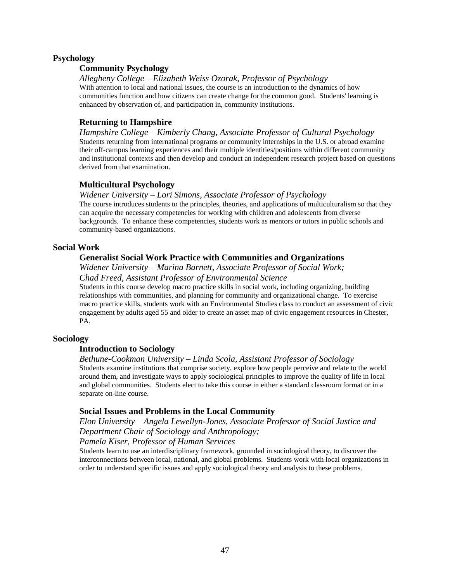## **Psychology**

## **Community Psychology**

*Allegheny College – Elizabeth Weiss Ozorak, Professor of Psychology* With attention to local and national issues, the course is an introduction to the dynamics of how communities function and how citizens can create change for the common good. Students' learning is enhanced by observation of, and participation in, community institutions.

## **Returning to Hampshire**

*Hampshire College – Kimberly Chang, Associate Professor of Cultural Psychology* Students returning from international programs or community internships in the U.S. or abroad examine their off-campus learning experiences and their multiple identities/positions within different community and institutional contexts and then develop and conduct an independent research project based on questions derived from that examination.

## **Multicultural Psychology**

## *Widener University – Lori Simons, Associate Professor of Psychology*

The course introduces students to the principles, theories, and applications of multiculturalism so that they can acquire the necessary competencies for working with children and adolescents from diverse backgrounds. To enhance these competencies, students work as mentors or tutors in public schools and community-based organizations.

## **Social Work**

## **Generalist Social Work Practice with Communities and Organizations**

*Widener University – Marina Barnett, Associate Professor of Social Work; Chad Freed, Assistant Professor of Environmental Science*

Students in this course develop macro practice skills in social work, including organizing, building relationships with communities, and planning for community and organizational change. To exercise macro practice skills, students work with an Environmental Studies class to conduct an assessment of civic engagement by adults aged 55 and older to create an asset map of civic engagement resources in Chester, PA.

## **Sociology**

## **Introduction to Sociology**

#### *Bethune-Cookman University – Linda Scola, Assistant Professor of Sociology* Students examine institutions that comprise society, explore how people perceive and relate to the world around them, and investigate ways to apply sociological principles to improve the quality of life in local and global communities. Students elect to take this course in either a standard classroom format or in a separate on-line course.

## **Social Issues and Problems in the Local Community**

*Elon University – Angela Lewellyn-Jones, Associate Professor of Social Justice and Department Chair of Sociology and Anthropology;* 

## *Pamela Kiser, Professor of Human Services*

Students learn to use an interdisciplinary framework, grounded in sociological theory, to discover the interconnections between local, national, and global problems. Students work with local organizations in order to understand specific issues and apply sociological theory and analysis to these problems.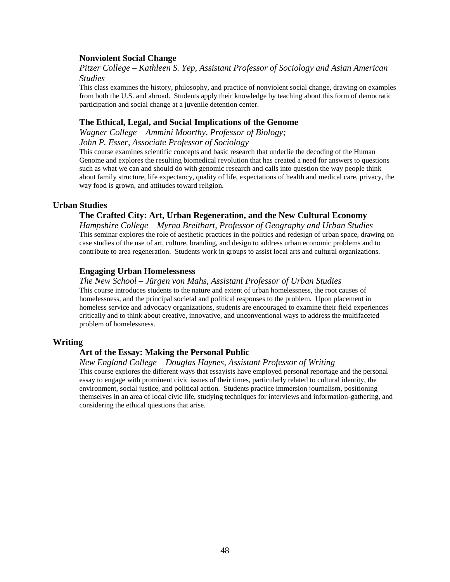## **Nonviolent Social Change**

*Pitzer College – Kathleen S. Yep, Assistant Professor of Sociology and Asian American Studies*

This class examines the history, philosophy, and practice of nonviolent social change, drawing on examples from both the U.S. and abroad. Students apply their knowledge by teaching about this form of democratic participation and social change at a juvenile detention center.

#### **The Ethical, Legal, and Social Implications of the Genome**

*Wagner College – Ammini Moorthy, Professor of Biology; John P. Esser, Associate Professor of Sociology*

This course examines scientific concepts and basic research that underlie the decoding of the Human Genome and explores the resulting biomedical revolution that has created a need for answers to questions such as what we can and should do with genomic research and calls into question the way people think about family structure, life expectancy, quality of life, expectations of health and medical care, privacy, the way food is grown, and attitudes toward religion.

#### **Urban Studies**

#### **The Crafted City: Art, Urban Regeneration, and the New Cultural Economy**

*Hampshire College – Myrna Breitbart, Professor of Geography and Urban Studies* This seminar explores the role of aesthetic practices in the politics and redesign of urban space, drawing on case studies of the use of art, culture, branding, and design to address urban economic problems and to contribute to area regeneration. Students work in groups to assist local arts and cultural organizations.

### **Engaging Urban Homelessness**

#### *The New School – Jürgen von Mahs, Assistant Professor of Urban Studies*

This course introduces students to the nature and extent of urban homelessness, the root causes of homelessness, and the principal societal and political responses to the problem. Upon placement in homeless service and advocacy organizations, students are encouraged to examine their field experiences critically and to think about creative, innovative, and unconventional ways to address the multifaceted problem of homelessness.

#### **Writing**

## **Art of the Essay: Making the Personal Public**

#### *New England College – Douglas Haynes, Assistant Professor of Writing*

This course explores the different ways that essayists have employed personal reportage and the personal essay to engage with prominent civic issues of their times, particularly related to cultural identity, the environment, social justice, and political action. Students practice immersion journalism, positioning themselves in an area of local civic life, studying techniques for interviews and information-gathering, and considering the ethical questions that arise.